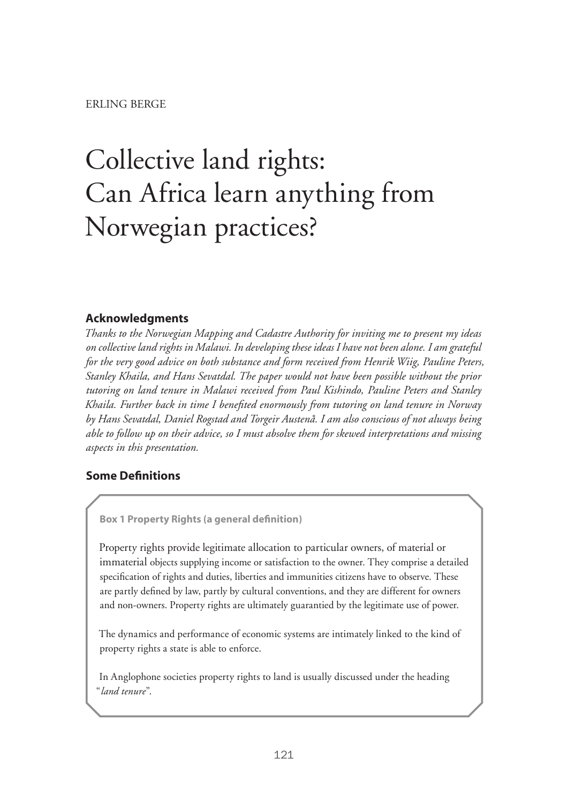# Collective land rights: Can Africa learn anything from Norwegian practices?

# **Acknowledgments**

*Thanks to the Norwegian Mapping and Cadastre Authority for inviting me to present my ideas on collective land rights in Malawi. In developing these ideas I have not been alone. I am grateful for the very good advice on both substance and form received from Henrik Wiig, Pauline Peters, Stanley Khaila, and Hans Sevatdal. The paper would not have been possible without the prior tutoring on land tenure in Malawi received from Paul Kishindo, Pauline Peters and Stanley Khaila. Further back in time I benefited enormously from tutoring on land tenure in Norway by Hans Sevatdal, Daniel Rogstad and Torgeir Austenå. I am also conscious of not always being able to follow up on their advice, so I must absolve them for skewed interpretations and missing aspects in this presentation.*

# **Some Definitions**

**Box 1 Property Rights (a general definition)**

Property rights provide legitimate allocation to particular owners, of material or immaterial objects supplying income or satisfaction to the owner. They comprise a detailed specification of rights and duties, liberties and immunities citizens have to observe. These are partly defined by law, partly by cultural conventions, and they are different for owners and non-owners. Property rights are ultimately guarantied by the legitimate use of power.

The dynamics and performance of economic systems are intimately linked to the kind of property rights a state is able to enforce.

In Anglophone societies property rights to land is usually discussed under the heading "*land tenure*".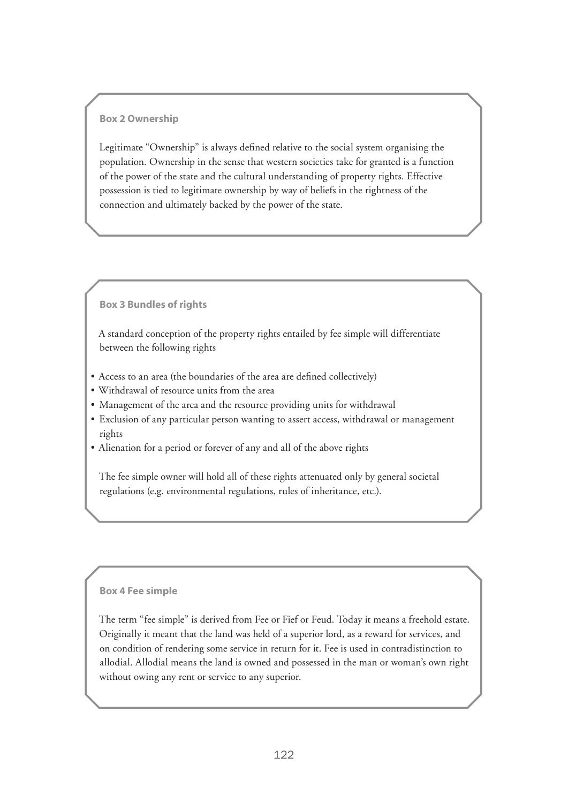#### **Box 2 Ownership**

Legitimate "Ownership" is always defined relative to the social system organising the population. Ownership in the sense that western societies take for granted is a function of the power of the state and the cultural understanding of property rights. Effective possession is tied to legitimate ownership by way of beliefs in the rightness of the connection and ultimately backed by the power of the state.

#### **Box 3 Bundles of rights**

A standard conception of the property rights entailed by fee simple will differentiate between the following rights

- Access to an area (the boundaries of the area are defined collectively)
- • Withdrawal of resource units from the area
- Management of the area and the resource providing units for withdrawal
- • Exclusion of any particular person wanting to assert access, withdrawal or management rights
- Alienation for a period or forever of any and all of the above rights

The fee simple owner will hold all of these rights attenuated only by general societal regulations (e.g. environmental regulations, rules of inheritance, etc.).

#### **Box 4 Fee simple**

The term "fee simple" is derived from Fee or Fief or Feud. Today it means a freehold estate. Originally it meant that the land was held of a superior lord, as a reward for services, and on condition of rendering some service in return for it. Fee is used in contradistinction to allodial. Allodial means the land is owned and possessed in the man or woman's own right without owing any rent or service to any superior.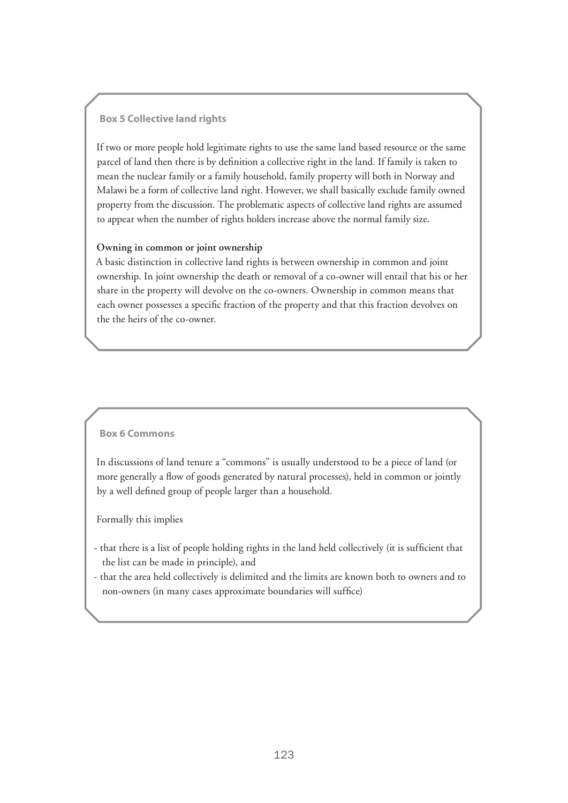#### **Box 5 Collective land rights**

If two or more people hold legitimate rights to use the same land based resource or the same parcel of land then there is by definition a collective right in the land. If family is taken to mean the nuclear family or a family household, family property will both in Norway and Malawi be a form of collective land right. However, we shall basically exclude family owned property from the discussion. The problematic aspects of collective land rights are assumed to appear when the number of rights holders increase above the normal family size.

#### **Owning in common or joint ownership**

A basic distinction in collective land rights is between ownership in common and joint ownership. In joint ownership the death or removal of a co-owner will entail that his or her share in the property will devolve on the co-owners. Ownership in common means that each owner possesses a specific fraction of the property and that this fraction devolves on the the heirs of the co-owner.

#### **Box 6 Commons**

In discussions of land tenure a "commons" is usually understood to be a piece of land (or more generally a flow of goods generated by natural processes), held in common or jointly by a well defined group of people larger than a household.

Formally this implies

- that there is a list of people holding rights in the land held collectively (it is sufficient that the list can be made in principle), and
- that the area held collectively is delimited and the limits are known both to owners and to non-owners (in many cases approximate boundaries will suffice)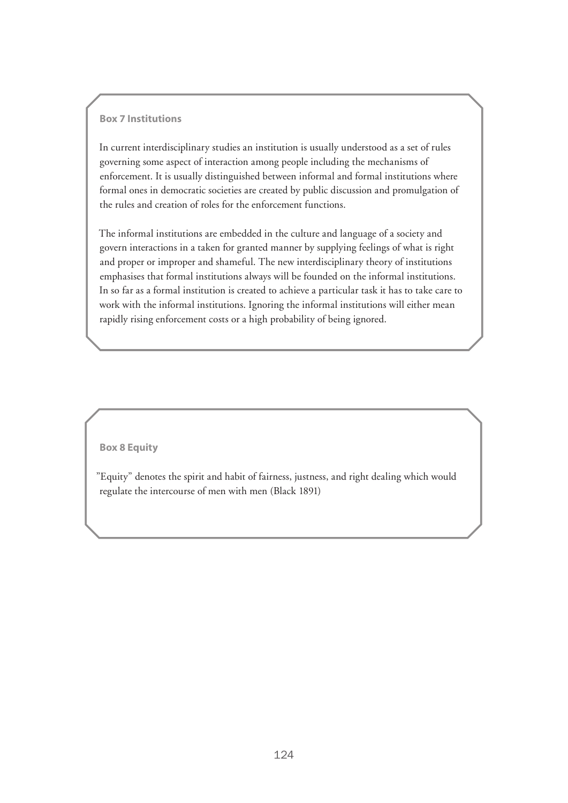#### **Box 7 Institutions**

In current interdisciplinary studies an institution is usually understood as a set of rules governing some aspect of interaction among people including the mechanisms of enforcement. It is usually distinguished between informal and formal institutions where formal ones in democratic societies are created by public discussion and promulgation of the rules and creation of roles for the enforcement functions.

The informal institutions are embedded in the culture and language of a society and govern interactions in a taken for granted manner by supplying feelings of what is right and proper or improper and shameful. The new interdisciplinary theory of institutions emphasises that formal institutions always will be founded on the informal institutions. In so far as a formal institution is created to achieve a particular task it has to take care to work with the informal institutions. Ignoring the informal institutions will either mean rapidly rising enforcement costs or a high probability of being ignored.

#### **Box 8 Equity**

"Equity" denotes the spirit and habit of fairness, justness, and right dealing which would regulate the intercourse of men with men (Black 1891)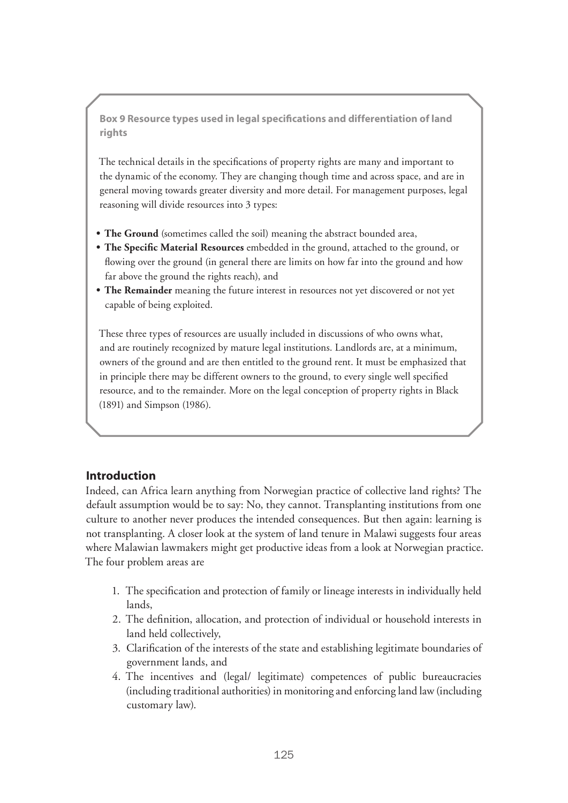**Box 9 Resource types used in legal specifications and differentiation of land rights** 

The technical details in the specifications of property rights are many and important to the dynamic of the economy. They are changing though time and across space, and are in general moving towards greater diversity and more detail. For management purposes, legal reasoning will divide resources into 3 types:

- The Ground (sometimes called the soil) meaning the abstract bounded area,
- **• The Specific Material Resources** embedded in the ground, attached to the ground, or flowing over the ground (in general there are limits on how far into the ground and how far above the ground the rights reach), and
- **The Remainder** meaning the future interest in resources not yet discovered or not yet capable of being exploited.

These three types of resources are usually included in discussions of who owns what, and are routinely recognized by mature legal institutions. Landlords are, at a minimum, owners of the ground and are then entitled to the ground rent. It must be emphasized that in principle there may be different owners to the ground, to every single well specified resource, and to the remainder. More on the legal conception of property rights in Black (1891) and Simpson (1986).

## **Introduction**

Indeed, can Africa learn anything from Norwegian practice of collective land rights? The default assumption would be to say: No, they cannot. Transplanting institutions from one culture to another never produces the intended consequences. But then again: learning is not transplanting. A closer look at the system of land tenure in Malawi suggests four areas where Malawian lawmakers might get productive ideas from a look at Norwegian practice. The four problem areas are

- 1. The specification and protection of family or lineage interests in individually held lands,
- 2. The definition, allocation, and protection of individual or household interests in land held collectively,
- 3. Clarification of the interests of the state and establishing legitimate boundaries of government lands, and
- 4. The incentives and (legal/ legitimate) competences of public bureaucracies (including traditional authorities) in monitoring and enforcing land law (including customary law).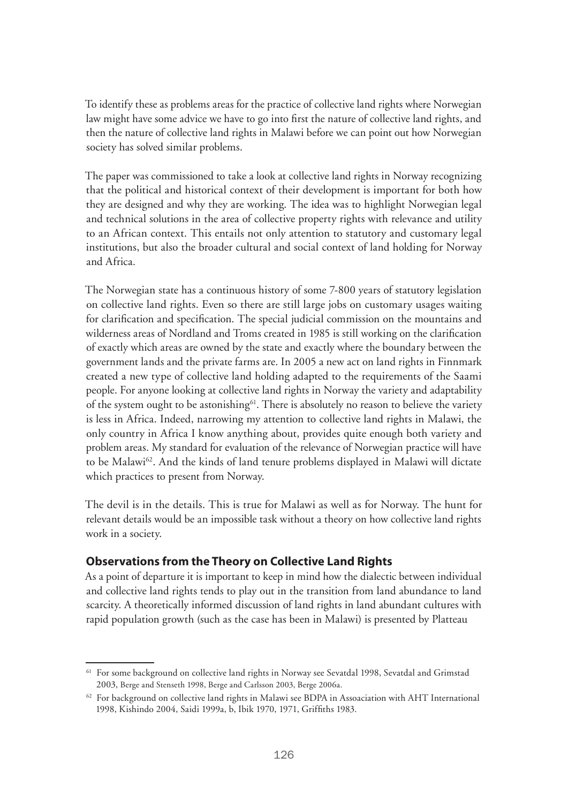To identify these as problems areas for the practice of collective land rights where Norwegian law might have some advice we have to go into first the nature of collective land rights, and then the nature of collective land rights in Malawi before we can point out how Norwegian society has solved similar problems.

The paper was commissioned to take a look at collective land rights in Norway recognizing that the political and historical context of their development is important for both how they are designed and why they are working. The idea was to highlight Norwegian legal and technical solutions in the area of collective property rights with relevance and utility to an African context. This entails not only attention to statutory and customary legal institutions, but also the broader cultural and social context of land holding for Norway and Africa.

The Norwegian state has a continuous history of some 7-800 years of statutory legislation on collective land rights. Even so there are still large jobs on customary usages waiting for clarification and specification. The special judicial commission on the mountains and wilderness areas of Nordland and Troms created in 1985 is still working on the clarification of exactly which areas are owned by the state and exactly where the boundary between the government lands and the private farms are. In 2005 a new act on land rights in Finnmark created a new type of collective land holding adapted to the requirements of the Saami people. For anyone looking at collective land rights in Norway the variety and adaptability of the system ought to be astonishing<sup> $61$ </sup>. There is absolutely no reason to believe the variety is less in Africa. Indeed, narrowing my attention to collective land rights in Malawi, the only country in Africa I know anything about, provides quite enough both variety and problem areas. My standard for evaluation of the relevance of Norwegian practice will have to be Malawi<sup>62</sup>. And the kinds of land tenure problems displayed in Malawi will dictate which practices to present from Norway.

The devil is in the details. This is true for Malawi as well as for Norway. The hunt for relevant details would be an impossible task without a theory on how collective land rights work in a society.

# **Observations from the Theory on Collective Land Rights**

As a point of departure it is important to keep in mind how the dialectic between individual and collective land rights tends to play out in the transition from land abundance to land scarcity. A theoretically informed discussion of land rights in land abundant cultures with rapid population growth (such as the case has been in Malawi) is presented by Platteau

<sup>&</sup>lt;sup>61</sup> For some background on collective land rights in Norway see Sevatdal 1998, Sevatdal and Grimstad 2003, Berge and Stenseth 1998, Berge and Carlsson 2003, Berge 2006a.

<sup>&</sup>lt;sup>62</sup> For background on collective land rights in Malawi see BDPA in Assoaciation with AHT International 1998, Kishindo 2004, Saidi 1999a, b, Ibik 1970, 1971, Griffiths 1983.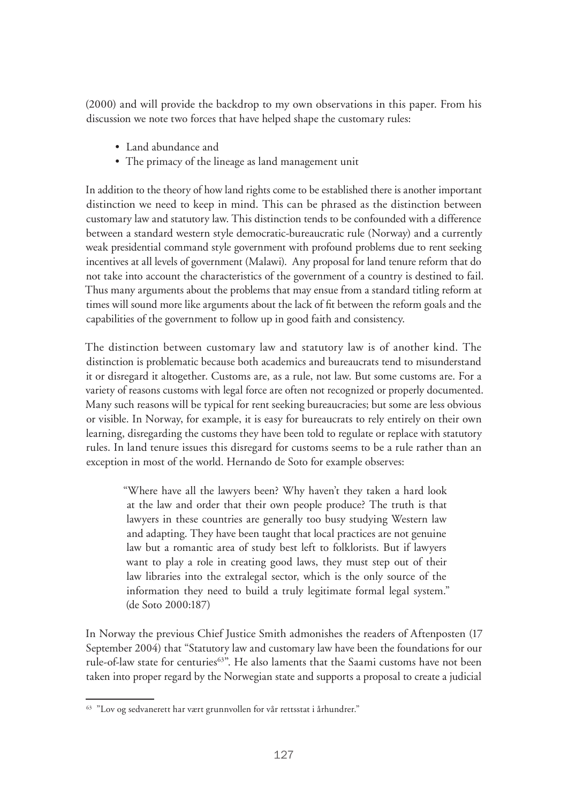(2000) and will provide the backdrop to my own observations in this paper. From his discussion we note two forces that have helped shape the customary rules:

- Land abundance and
- The primacy of the lineage as land management unit

In addition to the theory of how land rights come to be established there is another important distinction we need to keep in mind. This can be phrased as the distinction between customary law and statutory law. This distinction tends to be confounded with a difference between a standard western style democratic-bureaucratic rule (Norway) and a currently weak presidential command style government with profound problems due to rent seeking incentives at all levels of government (Malawi). Any proposal for land tenure reform that do not take into account the characteristics of the government of a country is destined to fail. Thus many arguments about the problems that may ensue from a standard titling reform at times will sound more like arguments about the lack of fit between the reform goals and the capabilities of the government to follow up in good faith and consistency.

The distinction between customary law and statutory law is of another kind. The distinction is problematic because both academics and bureaucrats tend to misunderstand it or disregard it altogether. Customs are, as a rule, not law. But some customs are. For a variety of reasons customs with legal force are often not recognized or properly documented. Many such reasons will be typical for rent seeking bureaucracies; but some are less obvious or visible. In Norway, for example, it is easy for bureaucrats to rely entirely on their own learning, disregarding the customs they have been told to regulate or replace with statutory rules. In land tenure issues this disregard for customs seems to be a rule rather than an exception in most of the world. Hernando de Soto for example observes:

"Where have all the lawyers been? Why haven't they taken a hard look at the law and order that their own people produce? The truth is that lawyers in these countries are generally too busy studying Western law and adapting. They have been taught that local practices are not genuine law but a romantic area of study best left to folklorists. But if lawyers want to play a role in creating good laws, they must step out of their law libraries into the extralegal sector, which is the only source of the information they need to build a truly legitimate formal legal system." (de Soto 2000:187)

In Norway the previous Chief Justice Smith admonishes the readers of Aftenposten (17 September 2004) that "Statutory law and customary law have been the foundations for our rule-of-law state for centuries<sup>63"</sup>. He also laments that the Saami customs have not been taken into proper regard by the Norwegian state and supports a proposal to create a judicial

<sup>63</sup> "Lov og sedvanerett har vært grunnvollen for vår rettsstat i århundrer."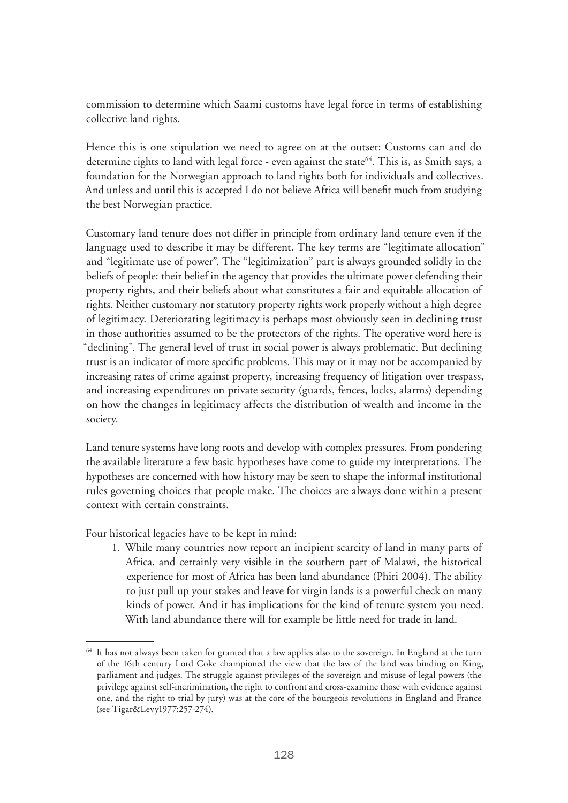commission to determine which Saami customs have legal force in terms of establishing collective land rights.

Hence this is one stipulation we need to agree on at the outset: Customs can and do determine rights to land with legal force - even against the state<sup>64</sup>. This is, as Smith says, a foundation for the Norwegian approach to land rights both for individuals and collectives. And unless and until this is accepted I do not believe Africa will benefit much from studying the best Norwegian practice.

Customary land tenure does not differ in principle from ordinary land tenure even if the language used to describe it may be different. The key terms are "legitimate allocation" and "legitimate use of power". The "legitimization" part is always grounded solidly in the beliefs of people: their belief in the agency that provides the ultimate power defending their property rights, and their beliefs about what constitutes a fair and equitable allocation of rights. Neither customary nor statutory property rights work properly without a high degree of legitimacy. Deteriorating legitimacy is perhaps most obviously seen in declining trust in those authorities assumed to be the protectors of the rights. The operative word here is "declining". The general level of trust in social power is always problematic. But declining trust is an indicator of more specific problems. This may or it may not be accompanied by increasing rates of crime against property, increasing frequency of litigation over trespass, and increasing expenditures on private security (guards, fences, locks, alarms) depending on how the changes in legitimacy affects the distribution of wealth and income in the society.

Land tenure systems have long roots and develop with complex pressures. From pondering the available literature a few basic hypotheses have come to guide my interpretations. The hypotheses are concerned with how history may be seen to shape the informal institutional rules governing choices that people make. The choices are always done within a present context with certain constraints.

Four historical legacies have to be kept in mind:

1. While many countries now report an incipient scarcity of land in many parts of Africa, and certainly very visible in the southern part of Malawi, the historical experience for most of Africa has been land abundance (Phiri 2004). The ability to just pull up your stakes and leave for virgin lands is a powerful check on many kinds of power. And it has implications for the kind of tenure system you need. With land abundance there will for example be little need for trade in land.

 $64$  It has not always been taken for granted that a law applies also to the sovereign. In England at the turn of the 16th century Lord Coke championed the view that the law of the land was binding on King, parliament and judges. The struggle against privileges of the sovereign and misuse of legal powers (the privilege against self-incrimination, the right to confront and cross-examine those with evidence against one, and the right to trial by jury) was at the core of the bourgeois revolutions in England and France (see Tigar&Levy1977:257-274).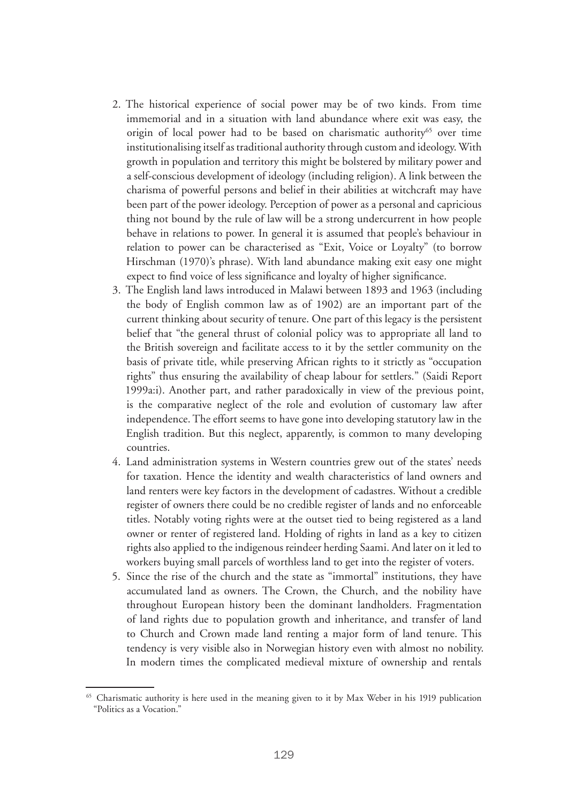- 2. The historical experience of social power may be of two kinds. From time immemorial and in a situation with land abundance where exit was easy, the origin of local power had to be based on charismatic authority<sup>65</sup> over time institutionalising itself as traditional authority through custom and ideology. With growth in population and territory this might be bolstered by military power and a self-conscious development of ideology (including religion). A link between the charisma of powerful persons and belief in their abilities at witchcraft may have been part of the power ideology. Perception of power as a personal and capricious thing not bound by the rule of law will be a strong undercurrent in how people behave in relations to power. In general it is assumed that people's behaviour in relation to power can be characterised as "Exit, Voice or Loyalty" (to borrow Hirschman (1970)'s phrase). With land abundance making exit easy one might expect to find voice of less significance and loyalty of higher significance.
- 3. The English land laws introduced in Malawi between 1893 and 1963 (including the body of English common law as of 1902) are an important part of the current thinking about security of tenure. One part of this legacy is the persistent belief that "the general thrust of colonial policy was to appropriate all land to the British sovereign and facilitate access to it by the settler community on the basis of private title, while preserving African rights to it strictly as "occupation rights" thus ensuring the availability of cheap labour for settlers." (Saidi Report 1999a:i). Another part, and rather paradoxically in view of the previous point, is the comparative neglect of the role and evolution of customary law after independence. The effort seems to have gone into developing statutory law in the English tradition. But this neglect, apparently, is common to many developing countries.
- 4. Land administration systems in Western countries grew out of the states' needs for taxation. Hence the identity and wealth characteristics of land owners and land renters were key factors in the development of cadastres. Without a credible register of owners there could be no credible register of lands and no enforceable titles. Notably voting rights were at the outset tied to being registered as a land owner or renter of registered land. Holding of rights in land as a key to citizen rights also applied to the indigenous reindeer herding Saami. And later on it led to workers buying small parcels of worthless land to get into the register of voters.
- 5. Since the rise of the church and the state as "immortal" institutions, they have accumulated land as owners. The Crown, the Church, and the nobility have throughout European history been the dominant landholders. Fragmentation of land rights due to population growth and inheritance, and transfer of land to Church and Crown made land renting a major form of land tenure. This tendency is very visible also in Norwegian history even with almost no nobility. In modern times the complicated medieval mixture of ownership and rentals

<sup>&</sup>lt;sup>65</sup> Charismatic authority is here used in the meaning given to it by Max Weber in his 1919 publication "Politics as a Vocation."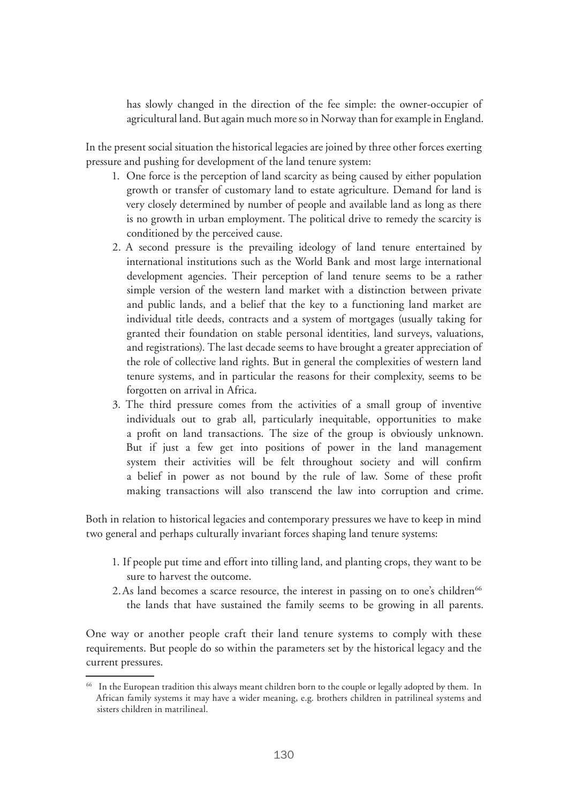has slowly changed in the direction of the fee simple: the owner-occupier of agricultural land. But again much more so in Norway than for example in England.

In the present social situation the historical legacies are joined by three other forces exerting pressure and pushing for development of the land tenure system:

- 1. One force is the perception of land scarcity as being caused by either population growth or transfer of customary land to estate agriculture. Demand for land is very closely determined by number of people and available land as long as there is no growth in urban employment. The political drive to remedy the scarcity is conditioned by the perceived cause.
- 2. A second pressure is the prevailing ideology of land tenure entertained by international institutions such as the World Bank and most large international development agencies. Their perception of land tenure seems to be a rather simple version of the western land market with a distinction between private and public lands, and a belief that the key to a functioning land market are individual title deeds, contracts and a system of mortgages (usually taking for granted their foundation on stable personal identities, land surveys, valuations, and registrations). The last decade seems to have brought a greater appreciation of the role of collective land rights. But in general the complexities of western land tenure systems, and in particular the reasons for their complexity, seems to be forgotten on arrival in Africa.
- 3. The third pressure comes from the activities of a small group of inventive individuals out to grab all, particularly inequitable, opportunities to make a profit on land transactions. The size of the group is obviously unknown. But if just a few get into positions of power in the land management system their activities will be felt throughout society and will confirm a belief in power as not bound by the rule of law. Some of these profit making transactions will also transcend the law into corruption and crime.

Both in relation to historical legacies and contemporary pressures we have to keep in mind two general and perhaps culturally invariant forces shaping land tenure systems:

- 1. If people put time and effort into tilling land, and planting crops, they want to be sure to harvest the outcome.
- 2. As land becomes a scarce resource, the interest in passing on to one's children<sup>66</sup> the lands that have sustained the family seems to be growing in all parents.

One way or another people craft their land tenure systems to comply with these requirements. But people do so within the parameters set by the historical legacy and the current pressures.

<sup>&</sup>lt;sup>66</sup> In the European tradition this always meant children born to the couple or legally adopted by them. In African family systems it may have a wider meaning, e.g. brothers children in patrilineal systems and sisters children in matrilineal.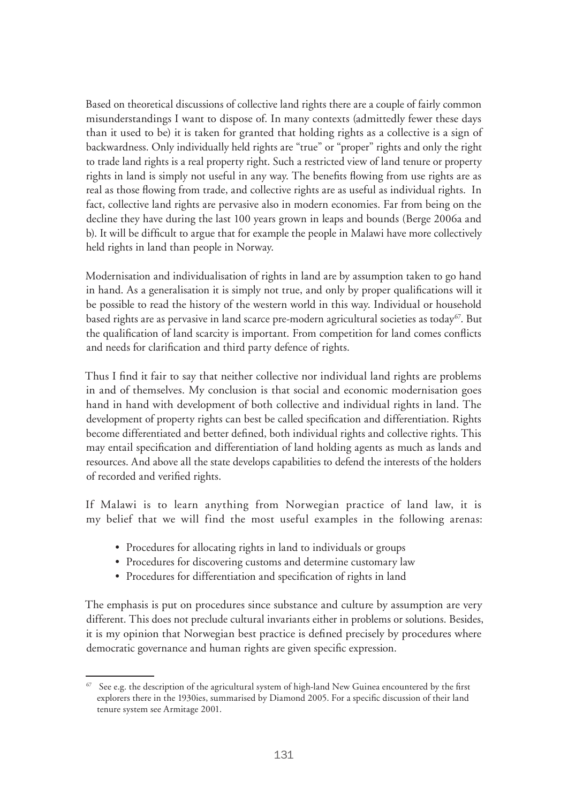Based on theoretical discussions of collective land rights there are a couple of fairly common misunderstandings I want to dispose of. In many contexts (admittedly fewer these days than it used to be) it is taken for granted that holding rights as a collective is a sign of backwardness. Only individually held rights are "true" or "proper" rights and only the right to trade land rights is a real property right. Such a restricted view of land tenure or property rights in land is simply not useful in any way. The benefits flowing from use rights are as real as those flowing from trade, and collective rights are as useful as individual rights. In fact, collective land rights are pervasive also in modern economies. Far from being on the decline they have during the last 100 years grown in leaps and bounds (Berge 2006a and b). It will be difficult to argue that for example the people in Malawi have more collectively held rights in land than people in Norway.

Modernisation and individualisation of rights in land are by assumption taken to go hand in hand. As a generalisation it is simply not true, and only by proper qualifications will it be possible to read the history of the western world in this way. Individual or household based rights are as pervasive in land scarce pre-modern agricultural societies as today<sup>67</sup>. But the qualification of land scarcity is important. From competition for land comes conflicts and needs for clarification and third party defence of rights.

Thus I find it fair to say that neither collective nor individual land rights are problems in and of themselves. My conclusion is that social and economic modernisation goes hand in hand with development of both collective and individual rights in land. The development of property rights can best be called specification and differentiation. Rights become differentiated and better defined, both individual rights and collective rights. This may entail specification and differentiation of land holding agents as much as lands and resources. And above all the state develops capabilities to defend the interests of the holders of recorded and verified rights.

If Malawi is to learn anything from Norwegian practice of land law, it is my belief that we will find the most useful examples in the following arenas:

- Procedures for allocating rights in land to individuals or groups
- Procedures for discovering customs and determine customary law
- Procedures for differentiation and specification of rights in land

The emphasis is put on procedures since substance and culture by assumption are very different. This does not preclude cultural invariants either in problems or solutions. Besides, it is my opinion that Norwegian best practice is defined precisely by procedures where democratic governance and human rights are given specific expression.

 $67$  See e.g. the description of the agricultural system of high-land New Guinea encountered by the first explorers there in the 1930ies, summarised by Diamond 2005. For a specific discussion of their land tenure system see Armitage 2001.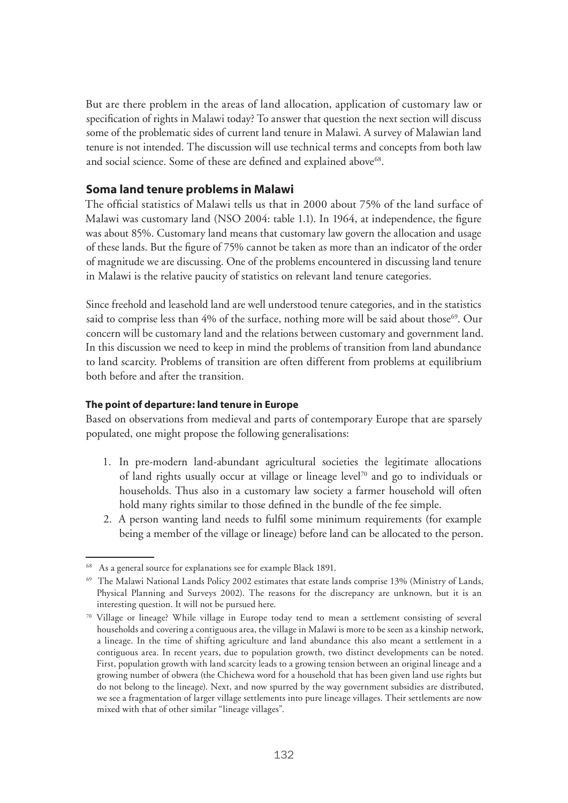But are there problem in the areas of land allocation, application of customary law or specification of rights in Malawi today? To answer that question the next section will discuss some of the problematic sides of current land tenure in Malawi. A survey of Malawian land tenure is not intended. The discussion will use technical terms and concepts from both law and social science. Some of these are defined and explained above<sup>68</sup>.

## **Soma land tenure problems in Malawi**

The official statistics of Malawi tells us that in 2000 about 75% of the land surface of Malawi was customary land (NSO 2004: table 1.1). In 1964, at independence, the figure was about 85%. Customary land means that customary law govern the allocation and usage of these lands. But the figure of 75% cannot be taken as more than an indicator of the order of magnitude we are discussing. One of the problems encountered in discussing land tenure in Malawi is the relative paucity of statistics on relevant land tenure categories.

Since freehold and leasehold land are well understood tenure categories, and in the statistics said to comprise less than  $4\%$  of the surface, nothing more will be said about those<sup>69</sup>. Our concern will be customary land and the relations between customary and government land. In this discussion we need to keep in mind the problems of transition from land abundance to land scarcity. Problems of transition are often different from problems at equilibrium both before and after the transition.

## **The point of departure: land tenure in Europe**

Based on observations from medieval and parts of contemporary Europe that are sparsely populated, one might propose the following generalisations:

- 1. In pre-modern land-abundant agricultural societies the legitimate allocations of land rights usually occur at village or lineage level70 and go to individuals or households. Thus also in a customary law society a farmer household will often hold many rights similar to those defined in the bundle of the fee simple.
- 2. A person wanting land needs to fulfil some minimum requirements (for example being a member of the village or lineage) before land can be allocated to the person.

<sup>68</sup> As a general source for explanations see for example Black 1891.

<sup>69</sup> The Malawi National Lands Policy 2002 estimates that estate lands comprise 13% (Ministry of Lands, Physical Planning and Surveys 2002). The reasons for the discrepancy are unknown, but it is an interesting question. It will not be pursued here.

<sup>70</sup> Village or lineage? While village in Europe today tend to mean a settlement consisting of several households and covering a contiguous area, the village in Malawi is more to be seen as a kinship network, a lineage. In the time of shifting agriculture and land abundance this also meant a settlement in a contiguous area. In recent years, due to population growth, two distinct developments can be noted. First, population growth with land scarcity leads to a growing tension between an original lineage and a growing number of obwera (the Chichewa word for a household that has been given land use rights but do not belong to the lineage). Next, and now spurred by the way government subsidies are distributed, we see a fragmentation of larger village settlements into pure lineage villages. Their settlements are now mixed with that of other similar "lineage villages".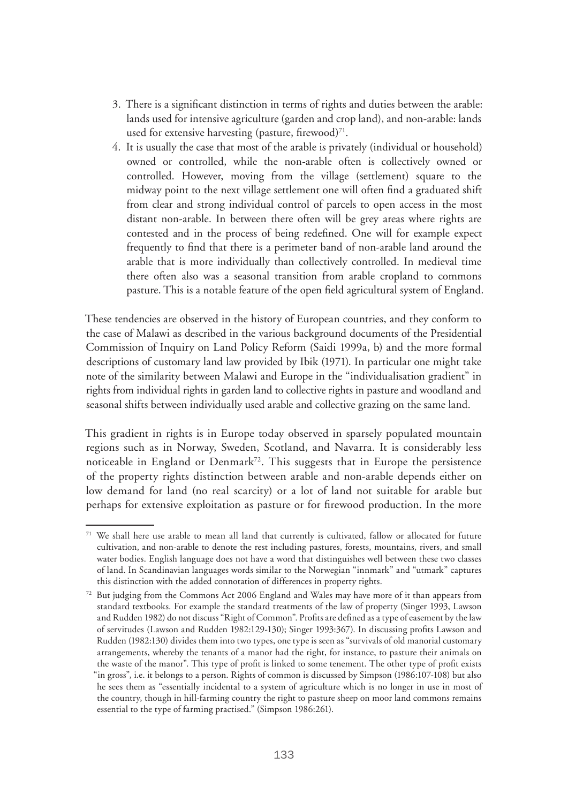- 3. There is a significant distinction in terms of rights and duties between the arable: lands used for intensive agriculture (garden and crop land), and non-arable: lands used for extensive harvesting (pasture, firewood) $71$ .
- 4. It is usually the case that most of the arable is privately (individual or household) owned or controlled, while the non-arable often is collectively owned or controlled. However, moving from the village (settlement) square to the midway point to the next village settlement one will often find a graduated shift from clear and strong individual control of parcels to open access in the most distant non-arable. In between there often will be grey areas where rights are contested and in the process of being redefined. One will for example expect frequently to find that there is a perimeter band of non-arable land around the arable that is more individually than collectively controlled. In medieval time there often also was a seasonal transition from arable cropland to commons pasture. This is a notable feature of the open field agricultural system of England.

These tendencies are observed in the history of European countries, and they conform to the case of Malawi as described in the various background documents of the Presidential Commission of Inquiry on Land Policy Reform (Saidi 1999a, b) and the more formal descriptions of customary land law provided by Ibik (1971). In particular one might take note of the similarity between Malawi and Europe in the "individualisation gradient" in rights from individual rights in garden land to collective rights in pasture and woodland and seasonal shifts between individually used arable and collective grazing on the same land.

This gradient in rights is in Europe today observed in sparsely populated mountain regions such as in Norway, Sweden, Scotland, and Navarra. It is considerably less noticeable in England or Denmark<sup>72</sup>. This suggests that in Europe the persistence of the property rights distinction between arable and non-arable depends either on low demand for land (no real scarcity) or a lot of land not suitable for arable but perhaps for extensive exploitation as pasture or for firewood production. In the more

<sup>&</sup>lt;sup>71</sup> We shall here use arable to mean all land that currently is cultivated, fallow or allocated for future cultivation, and non-arable to denote the rest including pastures, forests, mountains, rivers, and small water bodies. English language does not have a word that distinguishes well between these two classes of land. In Scandinavian languages words similar to the Norwegian "innmark" and "utmark" captures this distinction with the added connotation of differences in property rights.

<sup>72</sup> But judging from the Commons Act 2006 England and Wales may have more of it than appears from standard textbooks. For example the standard treatments of the law of property (Singer 1993, Lawson and Rudden 1982) do not discuss "Right of Common". Profits are defined as a type of easement by the law of servitudes (Lawson and Rudden 1982:129-130); Singer 1993:367). In discussing profits Lawson and Rudden (1982:130) divides them into two types, one type is seen as "survivals of old manorial customary arrangements, whereby the tenants of a manor had the right, for instance, to pasture their animals on the waste of the manor". This type of profit is linked to some tenement. The other type of profit exists "in gross", i.e. it belongs to a person. Rights of common is discussed by Simpson (1986:107-108) but also he sees them as "essentially incidental to a system of agriculture which is no longer in use in most of the country, though in hill-farming country the right to pasture sheep on moor land commons remains essential to the type of farming practised." (Simpson 1986:261).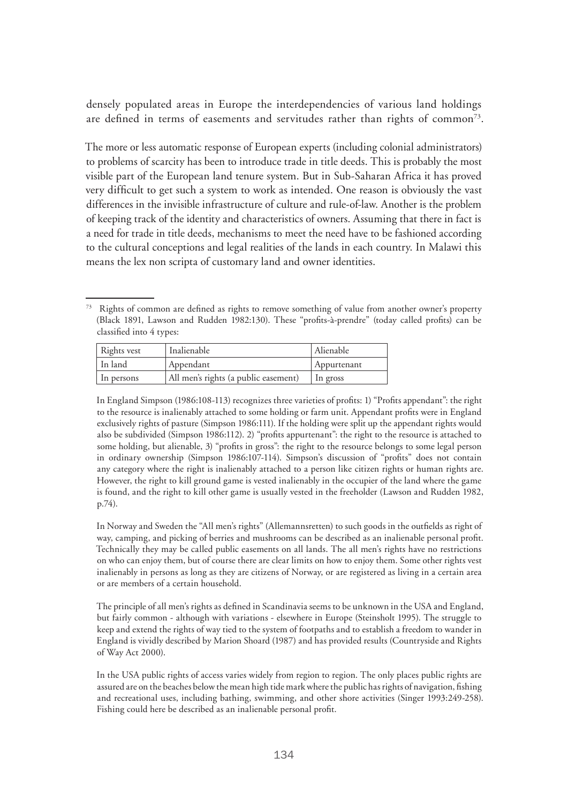densely populated areas in Europe the interdependencies of various land holdings are defined in terms of easements and servitudes rather than rights of common<sup>73</sup>.

The more or less automatic response of European experts (including colonial administrators) to problems of scarcity has been to introduce trade in title deeds. This is probably the most visible part of the European land tenure system. But in Sub-Saharan Africa it has proved very difficult to get such a system to work as intended. One reason is obviously the vast differences in the invisible infrastructure of culture and rule-of-law. Another is the problem of keeping track of the identity and characteristics of owners. Assuming that there in fact is a need for trade in title deeds, mechanisms to meet the need have to be fashioned according to the cultural conceptions and legal realities of the lands in each country. In Malawi this means the lex non scripta of customary land and owner identities.

<sup>&</sup>lt;sup>73</sup> Rights of common are defined as rights to remove something of value from another owner's property (Black 1891, Lawson and Rudden 1982:130). These "profits-à-prendre" (today called profits) can be classified into 4 types:

| Rights vest | Inalienable                          | Alienable   |
|-------------|--------------------------------------|-------------|
| In land     | Appendant                            | Appurtenant |
| In persons  | All men's rights (a public easement) | In gross    |

In England Simpson (1986:108-113) recognizes three varieties of profits: 1) "Profits appendant": the right to the resource is inalienably attached to some holding or farm unit. Appendant profits were in England exclusively rights of pasture (Simpson 1986:111). If the holding were split up the appendant rights would also be subdivided (Simpson 1986:112). 2) "profits appurtenant": the right to the resource is attached to some holding, but alienable, 3) "profits in gross": the right to the resource belongs to some legal person in ordinary ownership (Simpson 1986:107-114). Simpson's discussion of "profits" does not contain any category where the right is inalienably attached to a person like citizen rights or human rights are. However, the right to kill ground game is vested inalienably in the occupier of the land where the game is found, and the right to kill other game is usually vested in the freeholder (Lawson and Rudden 1982, p.74).

In Norway and Sweden the "All men's rights" (Allemannsretten) to such goods in the outfields as right of way, camping, and picking of berries and mushrooms can be described as an inalienable personal profit. Technically they may be called public easements on all lands. The all men's rights have no restrictions on who can enjoy them, but of course there are clear limits on how to enjoy them. Some other rights vest inalienably in persons as long as they are citizens of Norway, or are registered as living in a certain area or are members of a certain household.

The principle of all men's rights as defined in Scandinavia seems to be unknown in the USA and England, but fairly common - although with variations - elsewhere in Europe (Steinsholt 1995). The struggle to keep and extend the rights of way tied to the system of footpaths and to establish a freedom to wander in England is vividly described by Marion Shoard (1987) and has provided results (Countryside and Rights of Way Act 2000).

In the USA public rights of access varies widely from region to region. The only places public rights are assured are on the beaches below the mean high tide mark where the public has rights of navigation, fishing and recreational uses, including bathing, swimming, and other shore activities (Singer 1993:249-258). Fishing could here be described as an inalienable personal profit.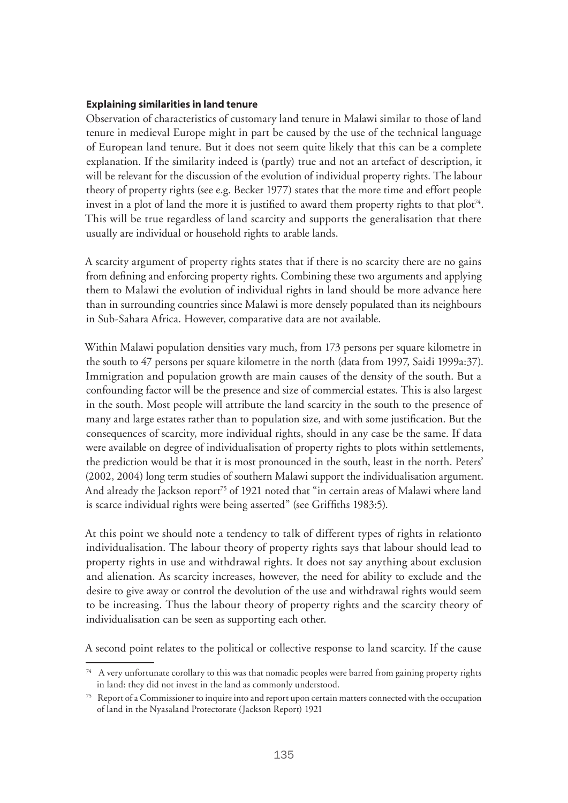#### **Explaining similarities in land tenure**

Observation of characteristics of customary land tenure in Malawi similar to those of land tenure in medieval Europe might in part be caused by the use of the technical language of European land tenure. But it does not seem quite likely that this can be a complete explanation. If the similarity indeed is (partly) true and not an artefact of description, it will be relevant for the discussion of the evolution of individual property rights. The labour theory of property rights (see e.g. Becker 1977) states that the more time and effort people invest in a plot of land the more it is justified to award them property rights to that  $plot^{74}$ . This will be true regardless of land scarcity and supports the generalisation that there usually are individual or household rights to arable lands.

A scarcity argument of property rights states that if there is no scarcity there are no gains from defining and enforcing property rights. Combining these two arguments and applying them to Malawi the evolution of individual rights in land should be more advance here than in surrounding countries since Malawi is more densely populated than its neighbours in Sub-Sahara Africa. However, comparative data are not available.

Within Malawi population densities vary much, from 173 persons per square kilometre in the south to 47 persons per square kilometre in the north (data from 1997, Saidi 1999a:37). Immigration and population growth are main causes of the density of the south. But a confounding factor will be the presence and size of commercial estates. This is also largest in the south. Most people will attribute the land scarcity in the south to the presence of many and large estates rather than to population size, and with some justification. But the consequences of scarcity, more individual rights, should in any case be the same. If data were available on degree of individualisation of property rights to plots within settlements, the prediction would be that it is most pronounced in the south, least in the north. Peters' (2002, 2004) long term studies of southern Malawi support the individualisation argument. And already the Jackson report<sup>75</sup> of 1921 noted that "in certain areas of Malawi where land is scarce individual rights were being asserted" (see Griffiths 1983:5).

At this point we should note a tendency to talk of different types of rights in relationto individualisation. The labour theory of property rights says that labour should lead to property rights in use and withdrawal rights. It does not say anything about exclusion and alienation. As scarcity increases, however, the need for ability to exclude and the desire to give away or control the devolution of the use and withdrawal rights would seem to be increasing. Thus the labour theory of property rights and the scarcity theory of individualisation can be seen as supporting each other.

A second point relates to the political or collective response to land scarcity. If the cause

<sup>&</sup>lt;sup>74</sup> A very unfortunate corollary to this was that nomadic peoples were barred from gaining property rights in land: they did not invest in the land as commonly understood.

 $75$  Report of a Commissioner to inquire into and report upon certain matters connected with the occupation of land in the Nyasaland Protectorate (Jackson Report) 1921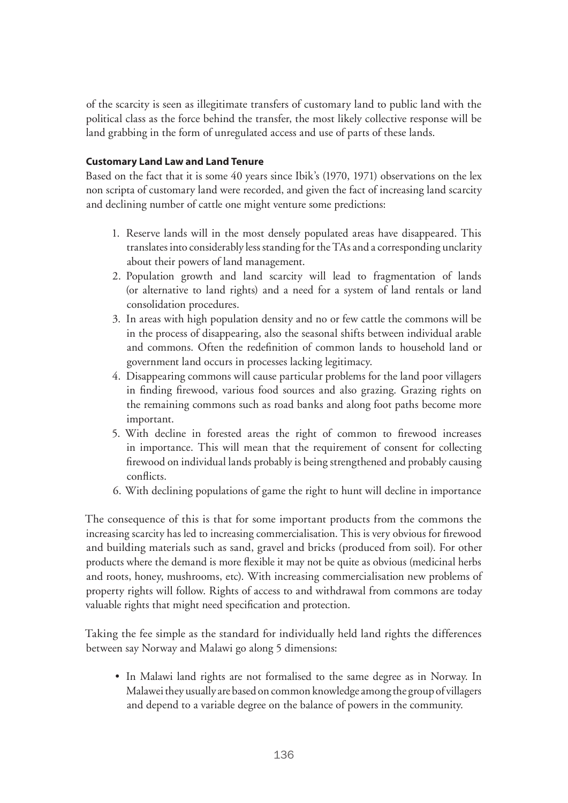of the scarcity is seen as illegitimate transfers of customary land to public land with the political class as the force behind the transfer, the most likely collective response will be land grabbing in the form of unregulated access and use of parts of these lands.

## **Customary Land Law and Land Tenure**

Based on the fact that it is some 40 years since Ibik's (1970, 1971) observations on the lex non scripta of customary land were recorded, and given the fact of increasing land scarcity and declining number of cattle one might venture some predictions:

- 1. Reserve lands will in the most densely populated areas have disappeared. This translates into considerably less standing for the TAs and a corresponding unclarity about their powers of land management.
- 2. Population growth and land scarcity will lead to fragmentation of lands (or alternative to land rights) and a need for a system of land rentals or land consolidation procedures.
- 3. In areas with high population density and no or few cattle the commons will be in the process of disappearing, also the seasonal shifts between individual arable and commons. Often the redefinition of common lands to household land or government land occurs in processes lacking legitimacy.
- 4. Disappearing commons will cause particular problems for the land poor villagers in finding firewood, various food sources and also grazing. Grazing rights on the remaining commons such as road banks and along foot paths become more important.
- 5. With decline in forested areas the right of common to firewood increases in importance. This will mean that the requirement of consent for collecting firewood on individual lands probably is being strengthened and probably causing conflicts.
- 6. With declining populations of game the right to hunt will decline in importance

The consequence of this is that for some important products from the commons the increasing scarcity has led to increasing commercialisation. This is very obvious for firewood and building materials such as sand, gravel and bricks (produced from soil). For other products where the demand is more flexible it may not be quite as obvious (medicinal herbs and roots, honey, mushrooms, etc). With increasing commercialisation new problems of property rights will follow. Rights of access to and withdrawal from commons are today valuable rights that might need specification and protection.

Taking the fee simple as the standard for individually held land rights the differences between say Norway and Malawi go along 5 dimensions:

• In Malawi land rights are not formalised to the same degree as in Norway. In Malawei they usually are based on common knowledge among the group of villagers and depend to a variable degree on the balance of powers in the community.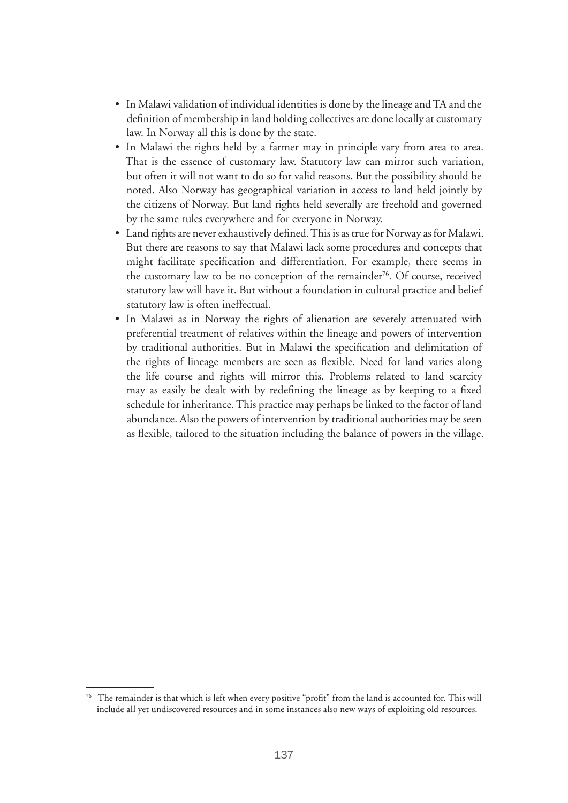- In Malawi validation of individual identities is done by the lineage and TA and the definition of membership in land holding collectives are done locally at customary law. In Norway all this is done by the state.
- In Malawi the rights held by a farmer may in principle vary from area to area. That is the essence of customary law. Statutory law can mirror such variation, but often it will not want to do so for valid reasons. But the possibility should be noted. Also Norway has geographical variation in access to land held jointly by the citizens of Norway. But land rights held severally are freehold and governed by the same rules everywhere and for everyone in Norway.
- Land rights are never exhaustively defined. This is as true for Norway as for Malawi. But there are reasons to say that Malawi lack some procedures and concepts that might facilitate specification and differentiation. For example, there seems in the customary law to be no conception of the remainder<sup>76</sup>. Of course, received statutory law will have it. But without a foundation in cultural practice and belief statutory law is often ineffectual.
- In Malawi as in Norway the rights of alienation are severely attenuated with preferential treatment of relatives within the lineage and powers of intervention by traditional authorities. But in Malawi the specification and delimitation of the rights of lineage members are seen as flexible. Need for land varies along the life course and rights will mirror this. Problems related to land scarcity may as easily be dealt with by redefining the lineage as by keeping to a fixed schedule for inheritance. This practice may perhaps be linked to the factor of land abundance. Also the powers of intervention by traditional authorities may be seen as flexible, tailored to the situation including the balance of powers in the village.

<sup>&</sup>lt;sup>76</sup> The remainder is that which is left when every positive "profit" from the land is accounted for. This will include all yet undiscovered resources and in some instances also new ways of exploiting old resources.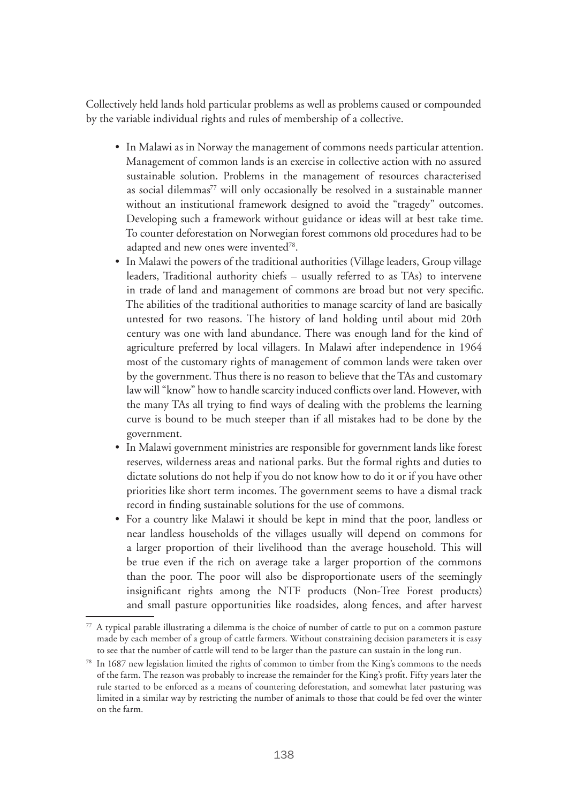Collectively held lands hold particular problems as well as problems caused or compounded by the variable individual rights and rules of membership of a collective.

- In Malawi as in Norway the management of commons needs particular attention. Management of common lands is an exercise in collective action with no assured sustainable solution. Problems in the management of resources characterised as social dilemmas<sup>77</sup> will only occasionally be resolved in a sustainable manner without an institutional framework designed to avoid the "tragedy" outcomes. Developing such a framework without guidance or ideas will at best take time. To counter deforestation on Norwegian forest commons old procedures had to be adapted and new ones were invented<sup>78</sup>.
- In Malawi the powers of the traditional authorities (Village leaders, Group village leaders, Traditional authority chiefs – usually referred to as TAs) to intervene in trade of land and management of commons are broad but not very specific. The abilities of the traditional authorities to manage scarcity of land are basically untested for two reasons. The history of land holding until about mid 20th century was one with land abundance. There was enough land for the kind of agriculture preferred by local villagers. In Malawi after independence in 1964 most of the customary rights of management of common lands were taken over by the government. Thus there is no reason to believe that the TAs and customary law will "know" how to handle scarcity induced conflicts over land. However, with the many TAs all trying to find ways of dealing with the problems the learning curve is bound to be much steeper than if all mistakes had to be done by the government.
- In Malawi government ministries are responsible for government lands like forest reserves, wilderness areas and national parks. But the formal rights and duties to dictate solutions do not help if you do not know how to do it or if you have other priorities like short term incomes. The government seems to have a dismal track record in finding sustainable solutions for the use of commons.
- For a country like Malawi it should be kept in mind that the poor, landless or near landless households of the villages usually will depend on commons for a larger proportion of their livelihood than the average household. This will be true even if the rich on average take a larger proportion of the commons than the poor. The poor will also be disproportionate users of the seemingly insignificant rights among the NTF products (Non-Tree Forest products) and small pasture opportunities like roadsides, along fences, and after harvest

<sup>77</sup> A typical parable illustrating a dilemma is the choice of number of cattle to put on a common pasture made by each member of a group of cattle farmers. Without constraining decision parameters it is easy to see that the number of cattle will tend to be larger than the pasture can sustain in the long run.

<sup>78</sup> In 1687 new legislation limited the rights of common to timber from the King's commons to the needs of the farm. The reason was probably to increase the remainder for the King's profit. Fifty years later the rule started to be enforced as a means of countering deforestation, and somewhat later pasturing was limited in a similar way by restricting the number of animals to those that could be fed over the winter on the farm.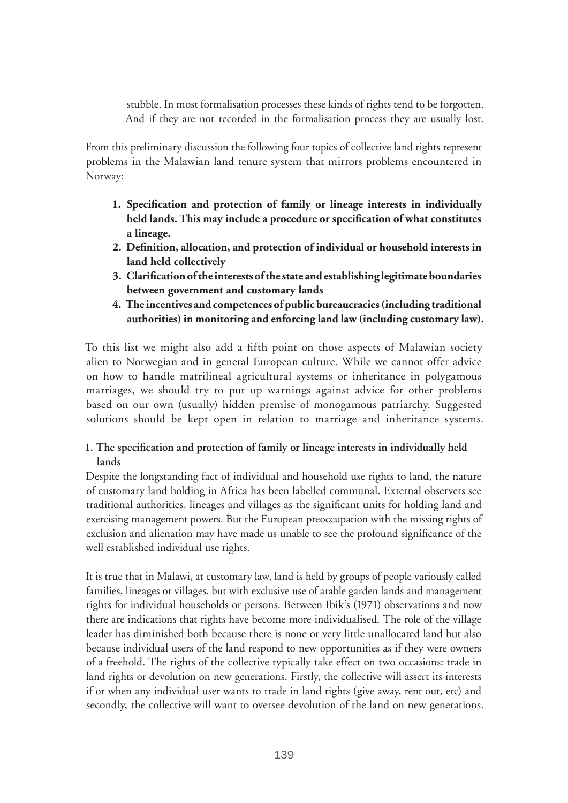stubble. In most formalisation processes these kinds of rights tend to be forgotten. And if they are not recorded in the formalisation process they are usually lost.

From this preliminary discussion the following four topics of collective land rights represent problems in the Malawian land tenure system that mirrors problems encountered in Norway:

- **1. Specification and protection of family or lineage interests in individually held lands. This may include a procedure or specification of what constitutes a lineage.**
- **2. Definition, allocation, and protection of individual or household interests in land held collectively**
- **3. Clarification of the interests of the state and establishing legitimate boundaries between government and customary lands**
- **4. The incentives and competences of public bureaucracies (including traditional authorities) in monitoring and enforcing land law (including customary law).**

To this list we might also add a fifth point on those aspects of Malawian society alien to Norwegian and in general European culture. While we cannot offer advice on how to handle matrilineal agricultural systems or inheritance in polygamous marriages, we should try to put up warnings against advice for other problems based on our own (usually) hidden premise of monogamous patriarchy. Suggested solutions should be kept open in relation to marriage and inheritance systems.

# **1. The specification and protection of family or lineage interests in individually held lands**

Despite the longstanding fact of individual and household use rights to land, the nature of customary land holding in Africa has been labelled communal. External observers see traditional authorities, lineages and villages as the significant units for holding land and exercising management powers. But the European preoccupation with the missing rights of exclusion and alienation may have made us unable to see the profound significance of the well established individual use rights.

It is true that in Malawi, at customary law, land is held by groups of people variously called families, lineages or villages, but with exclusive use of arable garden lands and management rights for individual households or persons. Between Ibik's (1971) observations and now there are indications that rights have become more individualised. The role of the village leader has diminished both because there is none or very little unallocated land but also because individual users of the land respond to new opportunities as if they were owners of a freehold. The rights of the collective typically take effect on two occasions: trade in land rights or devolution on new generations. Firstly, the collective will assert its interests if or when any individual user wants to trade in land rights (give away, rent out, etc) and secondly, the collective will want to oversee devolution of the land on new generations.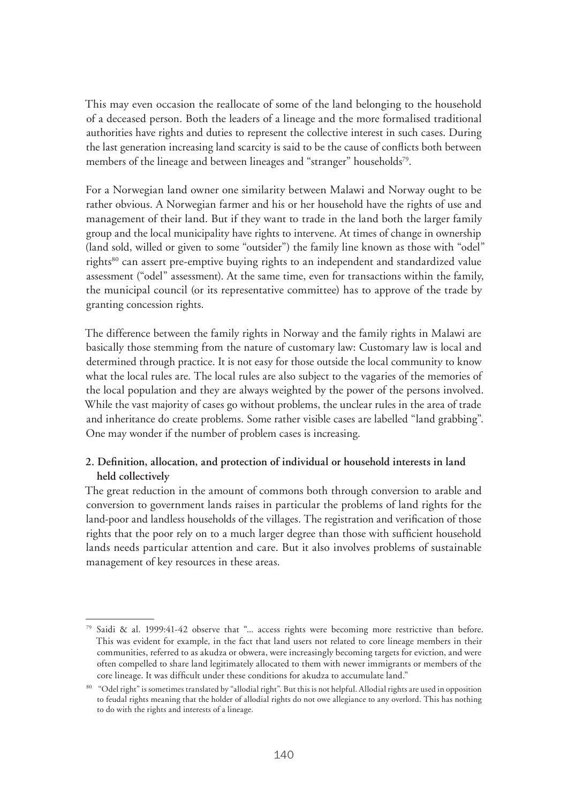This may even occasion the reallocate of some of the land belonging to the household of a deceased person. Both the leaders of a lineage and the more formalised traditional authorities have rights and duties to represent the collective interest in such cases. During the last generation increasing land scarcity is said to be the cause of conflicts both between members of the lineage and between lineages and "stranger" households<sup>79</sup>.

For a Norwegian land owner one similarity between Malawi and Norway ought to be rather obvious. A Norwegian farmer and his or her household have the rights of use and management of their land. But if they want to trade in the land both the larger family group and the local municipality have rights to intervene. At times of change in ownership (land sold, willed or given to some "outsider") the family line known as those with "odel" rights<sup>80</sup> can assert pre-emptive buying rights to an independent and standardized value assessment ("odel" assessment). At the same time, even for transactions within the family, the municipal council (or its representative committee) has to approve of the trade by granting concession rights.

The difference between the family rights in Norway and the family rights in Malawi are basically those stemming from the nature of customary law: Customary law is local and determined through practice. It is not easy for those outside the local community to know what the local rules are. The local rules are also subject to the vagaries of the memories of the local population and they are always weighted by the power of the persons involved. While the vast majority of cases go without problems, the unclear rules in the area of trade and inheritance do create problems. Some rather visible cases are labelled "land grabbing". One may wonder if the number of problem cases is increasing.

# **2. Definition, allocation, and protection of individual or household interests in land held collectively**

The great reduction in the amount of commons both through conversion to arable and conversion to government lands raises in particular the problems of land rights for the land-poor and landless households of the villages. The registration and verification of those rights that the poor rely on to a much larger degree than those with sufficient household lands needs particular attention and care. But it also involves problems of sustainable management of key resources in these areas.

<sup>79</sup> Saidi & al. 1999:41-42 observe that "... access rights were becoming more restrictive than before. This was evident for example, in the fact that land users not related to core lineage members in their communities, referred to as akudza or obwera, were increasingly becoming targets for eviction, and were often compelled to share land legitimately allocated to them with newer immigrants or members of the core lineage. It was difficult under these conditions for akudza to accumulate land."

<sup>80 &</sup>quot;Odel right" is sometimes translated by "allodial right". But this is not helpful. Allodial rights are used in opposition to feudal rights meaning that the holder of allodial rights do not owe allegiance to any overlord. This has nothing to do with the rights and interests of a lineage.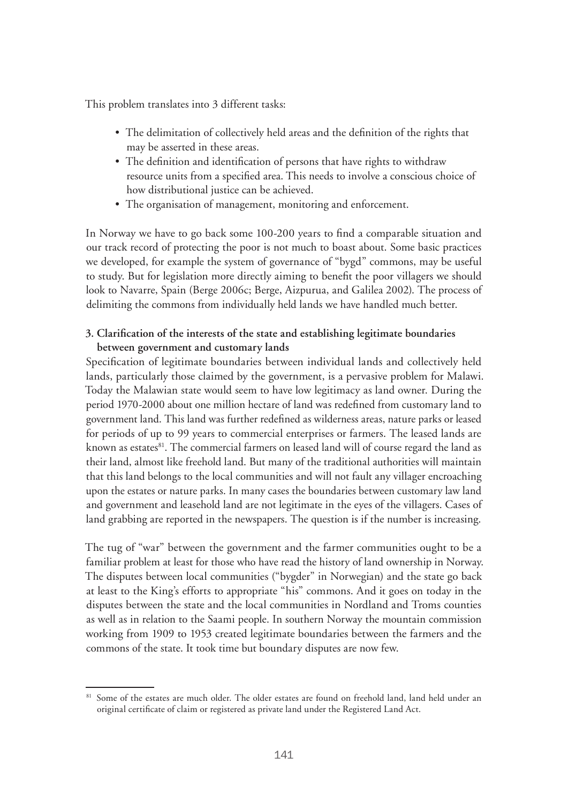This problem translates into 3 different tasks:

- The delimitation of collectively held areas and the definition of the rights that may be asserted in these areas.
- The definition and identification of persons that have rights to withdraw resource units from a specified area. This needs to involve a conscious choice of how distributional justice can be achieved.
- The organisation of management, monitoring and enforcement.

In Norway we have to go back some 100-200 years to find a comparable situation and our track record of protecting the poor is not much to boast about. Some basic practices we developed, for example the system of governance of "bygd" commons, may be useful to study. But for legislation more directly aiming to benefit the poor villagers we should look to Navarre, Spain (Berge 2006c; Berge, Aizpurua, and Galilea 2002). The process of delimiting the commons from individually held lands we have handled much better.

## **3. Clarification of the interests of the state and establishing legitimate boundaries between government and customary lands**

Specification of legitimate boundaries between individual lands and collectively held lands, particularly those claimed by the government, is a pervasive problem for Malawi. Today the Malawian state would seem to have low legitimacy as land owner. During the period 1970-2000 about one million hectare of land was redefined from customary land to government land. This land was further redefined as wilderness areas, nature parks or leased for periods of up to 99 years to commercial enterprises or farmers. The leased lands are known as estates<sup>81</sup>. The commercial farmers on leased land will of course regard the land as their land, almost like freehold land. But many of the traditional authorities will maintain that this land belongs to the local communities and will not fault any villager encroaching upon the estates or nature parks. In many cases the boundaries between customary law land and government and leasehold land are not legitimate in the eyes of the villagers. Cases of land grabbing are reported in the newspapers. The question is if the number is increasing.

The tug of "war" between the government and the farmer communities ought to be a familiar problem at least for those who have read the history of land ownership in Norway. The disputes between local communities ("bygder" in Norwegian) and the state go back at least to the King's efforts to appropriate "his" commons. And it goes on today in the disputes between the state and the local communities in Nordland and Troms counties as well as in relation to the Saami people. In southern Norway the mountain commission working from 1909 to 1953 created legitimate boundaries between the farmers and the commons of the state. It took time but boundary disputes are now few.

<sup>&</sup>lt;sup>81</sup> Some of the estates are much older. The older estates are found on freehold land, land held under an original certificate of claim or registered as private land under the Registered Land Act.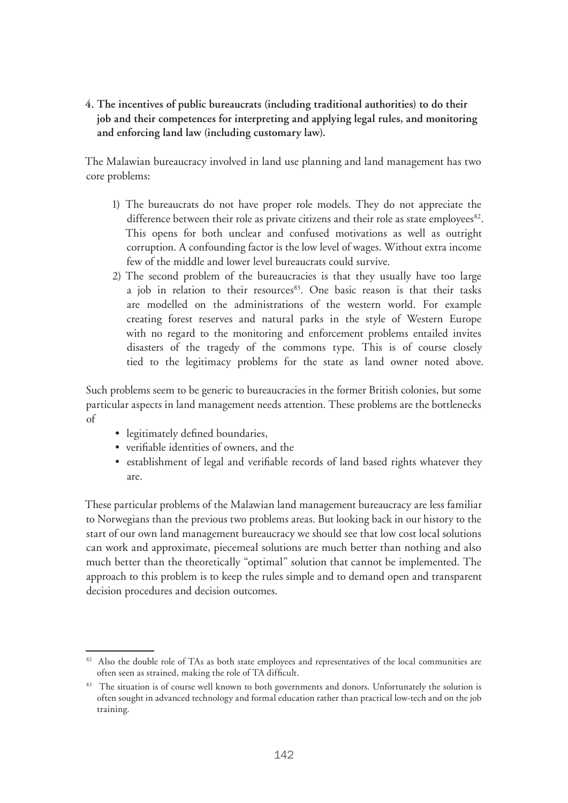**4. The incentives of public bureaucrats (including traditional authorities) to do their job and their competences for interpreting and applying legal rules, and monitoring and enforcing land law (including customary law).** 

The Malawian bureaucracy involved in land use planning and land management has two core problems:

- 1) The bureaucrats do not have proper role models. They do not appreciate the difference between their role as private citizens and their role as state employees<sup>82</sup>. This opens for both unclear and confused motivations as well as outright corruption. A confounding factor is the low level of wages. Without extra income few of the middle and lower level bureaucrats could survive.
- 2) The second problem of the bureaucracies is that they usually have too large a job in relation to their resources<sup>83</sup>. One basic reason is that their tasks are modelled on the administrations of the western world. For example creating forest reserves and natural parks in the style of Western Europe with no regard to the monitoring and enforcement problems entailed invites disasters of the tragedy of the commons type. This is of course closely tied to the legitimacy problems for the state as land owner noted above.

Such problems seem to be generic to bureaucracies in the former British colonies, but some particular aspects in land management needs attention. These problems are the bottlenecks of

- legitimately defined boundaries,
- verifiable identities of owners, and the
- establishment of legal and verifiable records of land based rights whatever they are.

These particular problems of the Malawian land management bureaucracy are less familiar to Norwegians than the previous two problems areas. But looking back in our history to the start of our own land management bureaucracy we should see that low cost local solutions can work and approximate, piecemeal solutions are much better than nothing and also much better than the theoretically "optimal" solution that cannot be implemented. The approach to this problem is to keep the rules simple and to demand open and transparent decision procedures and decision outcomes.

<sup>&</sup>lt;sup>82</sup> Also the double role of TAs as both state employees and representatives of the local communities are often seen as strained, making the role of TA difficult.

<sup>&</sup>lt;sup>83</sup> The situation is of course well known to both governments and donors. Unfortunately the solution is often sought in advanced technology and formal education rather than practical low-tech and on the job training.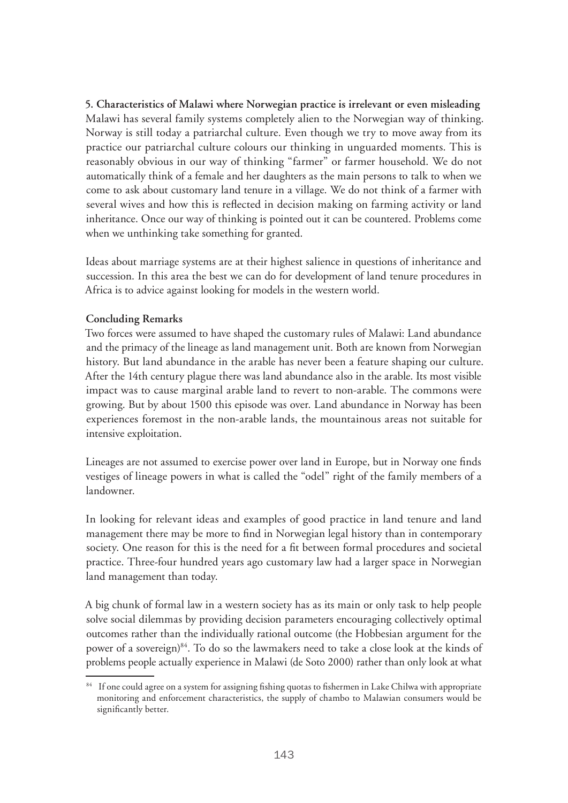**5. Characteristics of Malawi where Norwegian practice is irrelevant or even misleading** Malawi has several family systems completely alien to the Norwegian way of thinking. Norway is still today a patriarchal culture. Even though we try to move away from its practice our patriarchal culture colours our thinking in unguarded moments. This is reasonably obvious in our way of thinking "farmer" or farmer household. We do not automatically think of a female and her daughters as the main persons to talk to when we come to ask about customary land tenure in a village. We do not think of a farmer with several wives and how this is reflected in decision making on farming activity or land inheritance. Once our way of thinking is pointed out it can be countered. Problems come when we unthinking take something for granted.

Ideas about marriage systems are at their highest salience in questions of inheritance and succession. In this area the best we can do for development of land tenure procedures in Africa is to advice against looking for models in the western world.

## **Concluding Remarks**

Two forces were assumed to have shaped the customary rules of Malawi: Land abundance and the primacy of the lineage as land management unit. Both are known from Norwegian history. But land abundance in the arable has never been a feature shaping our culture. After the 14th century plague there was land abundance also in the arable. Its most visible impact was to cause marginal arable land to revert to non-arable. The commons were growing. But by about 1500 this episode was over. Land abundance in Norway has been experiences foremost in the non-arable lands, the mountainous areas not suitable for intensive exploitation.

Lineages are not assumed to exercise power over land in Europe, but in Norway one finds vestiges of lineage powers in what is called the "odel" right of the family members of a landowner.

In looking for relevant ideas and examples of good practice in land tenure and land management there may be more to find in Norwegian legal history than in contemporary society. One reason for this is the need for a fit between formal procedures and societal practice. Three-four hundred years ago customary law had a larger space in Norwegian land management than today.

A big chunk of formal law in a western society has as its main or only task to help people solve social dilemmas by providing decision parameters encouraging collectively optimal outcomes rather than the individually rational outcome (the Hobbesian argument for the power of a sovereign)<sup>84</sup>. To do so the lawmakers need to take a close look at the kinds of problems people actually experience in Malawi (de Soto 2000) rather than only look at what

<sup>&</sup>lt;sup>84</sup> If one could agree on a system for assigning fishing quotas to fishermen in Lake Chilwa with appropriate monitoring and enforcement characteristics, the supply of chambo to Malawian consumers would be significantly better.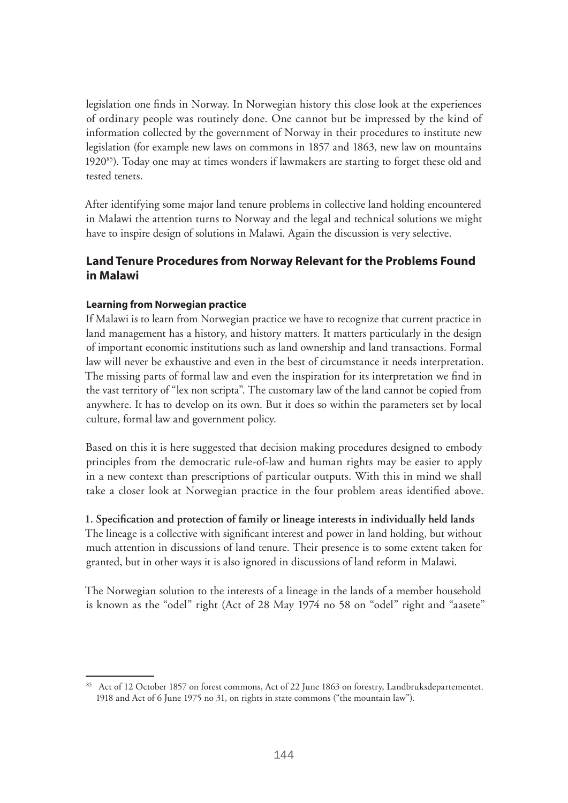legislation one finds in Norway. In Norwegian history this close look at the experiences of ordinary people was routinely done. One cannot but be impressed by the kind of information collected by the government of Norway in their procedures to institute new legislation (for example new laws on commons in 1857 and 1863, new law on mountains  $1920^{85}$ ). Today one may at times wonders if lawmakers are starting to forget these old and tested tenets.

After identifying some major land tenure problems in collective land holding encountered in Malawi the attention turns to Norway and the legal and technical solutions we might have to inspire design of solutions in Malawi. Again the discussion is very selective.

# **Land Tenure Procedures from Norway Relevant for the Problems Found in Malawi**

## **Learning from Norwegian practice**

If Malawi is to learn from Norwegian practice we have to recognize that current practice in land management has a history, and history matters. It matters particularly in the design of important economic institutions such as land ownership and land transactions. Formal law will never be exhaustive and even in the best of circumstance it needs interpretation. The missing parts of formal law and even the inspiration for its interpretation we find in the vast territory of "lex non scripta". The customary law of the land cannot be copied from anywhere. It has to develop on its own. But it does so within the parameters set by local culture, formal law and government policy.

Based on this it is here suggested that decision making procedures designed to embody principles from the democratic rule-of-law and human rights may be easier to apply in a new context than prescriptions of particular outputs. With this in mind we shall take a closer look at Norwegian practice in the four problem areas identified above.

## **1. Specification and protection of family or lineage interests in individually held lands**

The lineage is a collective with significant interest and power in land holding, but without much attention in discussions of land tenure. Their presence is to some extent taken for granted, but in other ways it is also ignored in discussions of land reform in Malawi.

The Norwegian solution to the interests of a lineage in the lands of a member household is known as the "odel" right (Act of 28 May 1974 no 58 on "odel" right and "aasete"

<sup>85</sup> Act of 12 October 1857 on forest commons, Act of 22 June 1863 on forestry, Landbruksdepartementet. 1918 and Act of 6 June 1975 no 31, on rights in state commons ("the mountain law").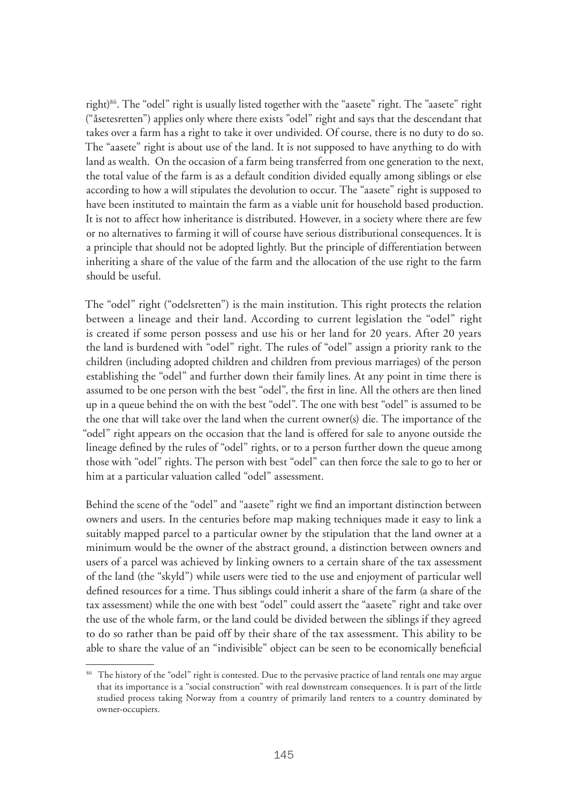right)86. The "odel" right is usually listed together with the "aasete" right. The "aasete" right ("åsetesretten") applies only where there exists "odel" right and says that the descendant that takes over a farm has a right to take it over undivided. Of course, there is no duty to do so. The "aasete" right is about use of the land. It is not supposed to have anything to do with land as wealth. On the occasion of a farm being transferred from one generation to the next, the total value of the farm is as a default condition divided equally among siblings or else according to how a will stipulates the devolution to occur. The "aasete" right is supposed to have been instituted to maintain the farm as a viable unit for household based production. It is not to affect how inheritance is distributed. However, in a society where there are few or no alternatives to farming it will of course have serious distributional consequences. It is a principle that should not be adopted lightly. But the principle of differentiation between inheriting a share of the value of the farm and the allocation of the use right to the farm should be useful.

The "odel" right ("odelsretten") is the main institution. This right protects the relation between a lineage and their land. According to current legislation the "odel" right is created if some person possess and use his or her land for 20 years. After 20 years the land is burdened with "odel" right. The rules of "odel" assign a priority rank to the children (including adopted children and children from previous marriages) of the person establishing the "odel" and further down their family lines. At any point in time there is assumed to be one person with the best "odel", the first in line. All the others are then lined up in a queue behind the on with the best "odel". The one with best "odel" is assumed to be the one that will take over the land when the current owner(s) die. The importance of the "odel" right appears on the occasion that the land is offered for sale to anyone outside the lineage defined by the rules of "odel" rights, or to a person further down the queue among those with "odel" rights. The person with best "odel" can then force the sale to go to her or him at a particular valuation called "odel" assessment.

Behind the scene of the "odel" and "aasete" right we find an important distinction between owners and users. In the centuries before map making techniques made it easy to link a suitably mapped parcel to a particular owner by the stipulation that the land owner at a minimum would be the owner of the abstract ground, a distinction between owners and users of a parcel was achieved by linking owners to a certain share of the tax assessment of the land (the "skyld") while users were tied to the use and enjoyment of particular well defined resources for a time. Thus siblings could inherit a share of the farm (a share of the tax assessment) while the one with best "odel" could assert the "aasete" right and take over the use of the whole farm, or the land could be divided between the siblings if they agreed to do so rather than be paid off by their share of the tax assessment. This ability to be able to share the value of an "indivisible" object can be seen to be economically beneficial

<sup>&</sup>lt;sup>86</sup> The history of the "odel" right is contested. Due to the pervasive practice of land rentals one may argue that its importance is a "social construction" with real downstream consequences. It is part of the little studied process taking Norway from a country of primarily land renters to a country dominated by owner-occupiers.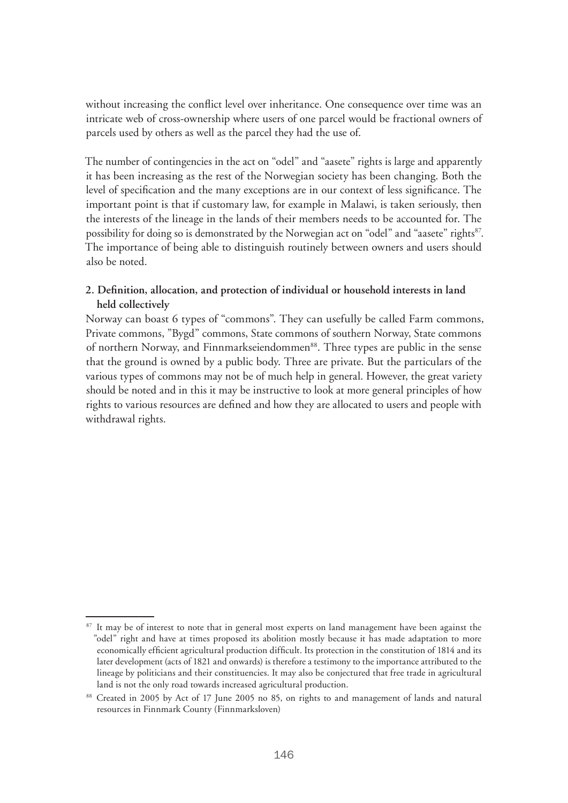without increasing the conflict level over inheritance. One consequence over time was an intricate web of cross-ownership where users of one parcel would be fractional owners of parcels used by others as well as the parcel they had the use of.

The number of contingencies in the act on "odel" and "aasete" rights is large and apparently it has been increasing as the rest of the Norwegian society has been changing. Both the level of specification and the many exceptions are in our context of less significance. The important point is that if customary law, for example in Malawi, is taken seriously, then the interests of the lineage in the lands of their members needs to be accounted for. The possibility for doing so is demonstrated by the Norwegian act on "odel" and "aasete" rights<sup>87</sup>. The importance of being able to distinguish routinely between owners and users should also be noted.

## **2. Definition, allocation, and protection of individual or household interests in land held collectively**

Norway can boast 6 types of "commons". They can usefully be called Farm commons, Private commons, "Bygd" commons, State commons of southern Norway, State commons of northern Norway, and Finnmarkseiendommen<sup>88</sup>. Three types are public in the sense that the ground is owned by a public body. Three are private. But the particulars of the various types of commons may not be of much help in general. However, the great variety should be noted and in this it may be instructive to look at more general principles of how rights to various resources are defined and how they are allocated to users and people with withdrawal rights.

<sup>&</sup>lt;sup>87</sup> It may be of interest to note that in general most experts on land management have been against the "odel" right and have at times proposed its abolition mostly because it has made adaptation to more economically efficient agricultural production difficult. Its protection in the constitution of 1814 and its later development (acts of 1821 and onwards) is therefore a testimony to the importance attributed to the lineage by politicians and their constituencies. It may also be conjectured that free trade in agricultural land is not the only road towards increased agricultural production.

<sup>88</sup> Created in 2005 by Act of 17 June 2005 no 85, on rights to and management of lands and natural resources in Finnmark County (Finnmarksloven)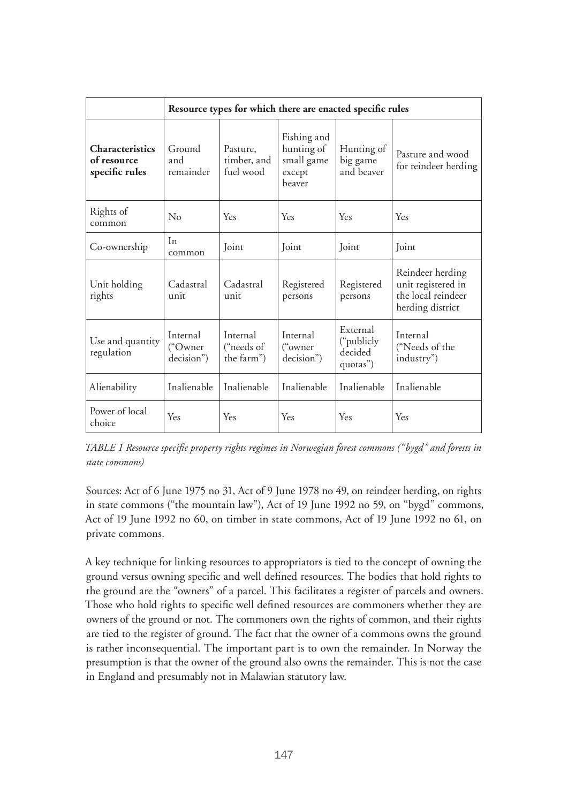|                                                         | Resource types for which there are enacted specific rules |                                      |                                                             |                                               |                                                                                  |  |
|---------------------------------------------------------|-----------------------------------------------------------|--------------------------------------|-------------------------------------------------------------|-----------------------------------------------|----------------------------------------------------------------------------------|--|
| <b>Characteristics</b><br>of resource<br>specific rules | Ground<br>and<br>remainder                                | Pasture,<br>timber, and<br>fuel wood | Fishing and<br>hunting of<br>small game<br>except<br>beaver | Hunting of<br>big game<br>and beaver          | Pasture and wood<br>for reindeer herding                                         |  |
| Rights of<br>common                                     | $\rm No$                                                  | Yes                                  | Yes                                                         | Yes                                           | Yes                                                                              |  |
| Co-ownership                                            | In<br>common                                              | Joint                                | Joint                                                       | Joint                                         | Joint                                                                            |  |
| Unit holding<br>rights                                  | Cadastral<br>unit                                         | Cadastral<br>unit                    | Registered<br>persons                                       | Registered<br>persons                         | Reindeer herding<br>unit registered in<br>the local reindeer<br>herding district |  |
| Use and quantity<br>regulation                          | Internal<br>("Owner<br>decision")                         | Internal<br>("needs of<br>the farm") | Internal<br>("owner<br>decision")                           | External<br>("publicly<br>decided<br>quotas") | Internal<br>("Needs of the<br>industry")                                         |  |
| Alienability                                            | Inalienable                                               | Inalienable                          | Inalienable                                                 | Inalienable                                   | Inalienable                                                                      |  |
| Power of local<br>choice                                | Yes                                                       | Yes                                  | Yes                                                         | Yes                                           | Yes                                                                              |  |

*TABLE 1 Resource specific property rights regimes in Norwegian forest commons ("bygd" and forests in state commons)*

Sources: Act of 6 June 1975 no 31, Act of 9 June 1978 no 49, on reindeer herding, on rights in state commons ("the mountain law"), Act of 19 June 1992 no 59, on "bygd" commons, Act of 19 June 1992 no 60, on timber in state commons, Act of 19 June 1992 no 61, on private commons.

A key technique for linking resources to appropriators is tied to the concept of owning the ground versus owning specific and well defined resources. The bodies that hold rights to the ground are the "owners" of a parcel. This facilitates a register of parcels and owners. Those who hold rights to specific well defined resources are commoners whether they are owners of the ground or not. The commoners own the rights of common, and their rights are tied to the register of ground. The fact that the owner of a commons owns the ground is rather inconsequential. The important part is to own the remainder. In Norway the presumption is that the owner of the ground also owns the remainder. This is not the case in England and presumably not in Malawian statutory law.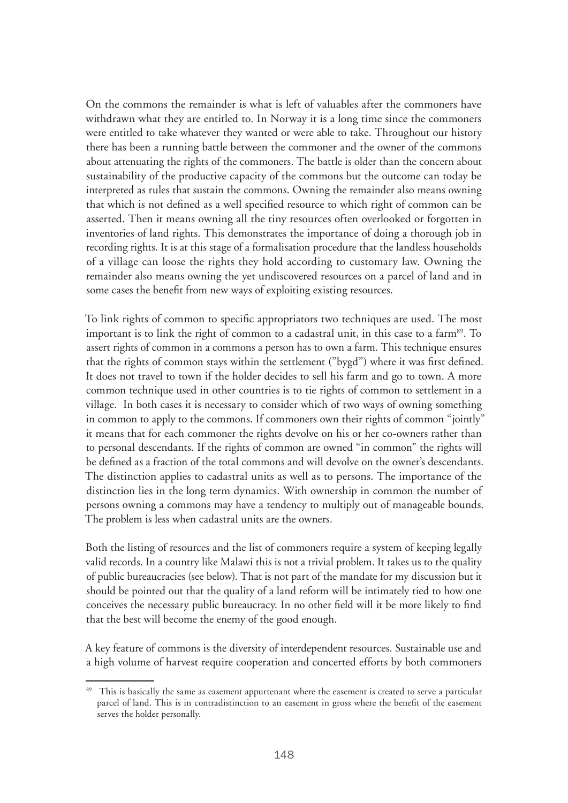On the commons the remainder is what is left of valuables after the commoners have withdrawn what they are entitled to. In Norway it is a long time since the commoners were entitled to take whatever they wanted or were able to take. Throughout our history there has been a running battle between the commoner and the owner of the commons about attenuating the rights of the commoners. The battle is older than the concern about sustainability of the productive capacity of the commons but the outcome can today be interpreted as rules that sustain the commons. Owning the remainder also means owning that which is not defined as a well specified resource to which right of common can be asserted. Then it means owning all the tiny resources often overlooked or forgotten in inventories of land rights. This demonstrates the importance of doing a thorough job in recording rights. It is at this stage of a formalisation procedure that the landless households of a village can loose the rights they hold according to customary law. Owning the remainder also means owning the yet undiscovered resources on a parcel of land and in some cases the benefit from new ways of exploiting existing resources.

To link rights of common to specific appropriators two techniques are used. The most important is to link the right of common to a cadastral unit, in this case to a farm<sup>89</sup>. To assert rights of common in a commons a person has to own a farm. This technique ensures that the rights of common stays within the settlement ("bygd") where it was first defined. It does not travel to town if the holder decides to sell his farm and go to town. A more common technique used in other countries is to tie rights of common to settlement in a village. In both cases it is necessary to consider which of two ways of owning something in common to apply to the commons. If commoners own their rights of common "jointly" it means that for each commoner the rights devolve on his or her co-owners rather than to personal descendants. If the rights of common are owned "in common" the rights will be defined as a fraction of the total commons and will devolve on the owner's descendants. The distinction applies to cadastral units as well as to persons. The importance of the distinction lies in the long term dynamics. With ownership in common the number of persons owning a commons may have a tendency to multiply out of manageable bounds. The problem is less when cadastral units are the owners.

Both the listing of resources and the list of commoners require a system of keeping legally valid records. In a country like Malawi this is not a trivial problem. It takes us to the quality of public bureaucracies (see below). That is not part of the mandate for my discussion but it should be pointed out that the quality of a land reform will be intimately tied to how one conceives the necessary public bureaucracy. In no other field will it be more likely to find that the best will become the enemy of the good enough.

A key feature of commons is the diversity of interdependent resources. Sustainable use and a high volume of harvest require cooperation and concerted efforts by both commoners

<sup>&</sup>lt;sup>89</sup> This is basically the same as easement appurtenant where the easement is created to serve a particular parcel of land. This is in contradistinction to an easement in gross where the benefit of the easement serves the holder personally.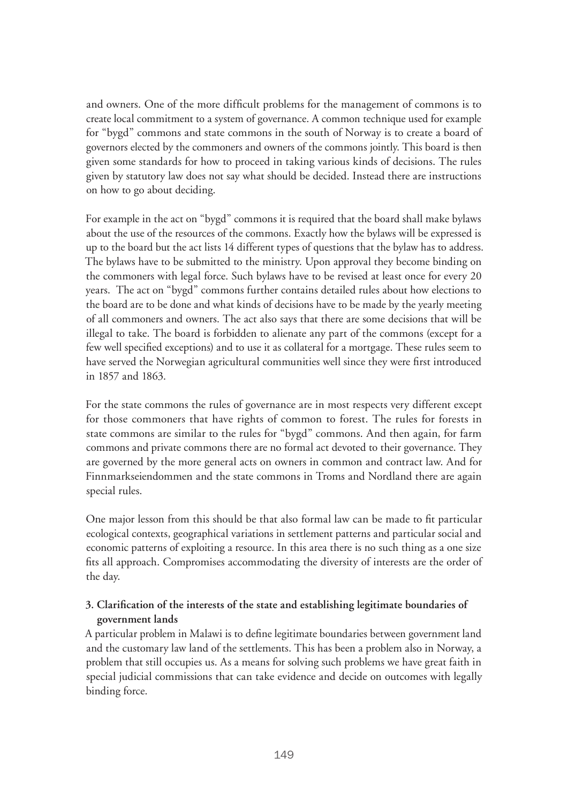and owners. One of the more difficult problems for the management of commons is to create local commitment to a system of governance. A common technique used for example for "bygd" commons and state commons in the south of Norway is to create a board of governors elected by the commoners and owners of the commons jointly. This board is then given some standards for how to proceed in taking various kinds of decisions. The rules given by statutory law does not say what should be decided. Instead there are instructions on how to go about deciding.

For example in the act on "bygd" commons it is required that the board shall make bylaws about the use of the resources of the commons. Exactly how the bylaws will be expressed is up to the board but the act lists 14 different types of questions that the bylaw has to address. The bylaws have to be submitted to the ministry. Upon approval they become binding on the commoners with legal force. Such bylaws have to be revised at least once for every 20 years. The act on "bygd" commons further contains detailed rules about how elections to the board are to be done and what kinds of decisions have to be made by the yearly meeting of all commoners and owners. The act also says that there are some decisions that will be illegal to take. The board is forbidden to alienate any part of the commons (except for a few well specified exceptions) and to use it as collateral for a mortgage. These rules seem to have served the Norwegian agricultural communities well since they were first introduced in 1857 and 1863.

For the state commons the rules of governance are in most respects very different except for those commoners that have rights of common to forest. The rules for forests in state commons are similar to the rules for "bygd" commons. And then again, for farm commons and private commons there are no formal act devoted to their governance. They are governed by the more general acts on owners in common and contract law. And for Finnmarkseiendommen and the state commons in Troms and Nordland there are again special rules.

One major lesson from this should be that also formal law can be made to fit particular ecological contexts, geographical variations in settlement patterns and particular social and economic patterns of exploiting a resource. In this area there is no such thing as a one size fits all approach. Compromises accommodating the diversity of interests are the order of the day.

# **3. Clarification of the interests of the state and establishing legitimate boundaries of government lands**

A particular problem in Malawi is to define legitimate boundaries between government land and the customary law land of the settlements. This has been a problem also in Norway, a problem that still occupies us. As a means for solving such problems we have great faith in special judicial commissions that can take evidence and decide on outcomes with legally binding force.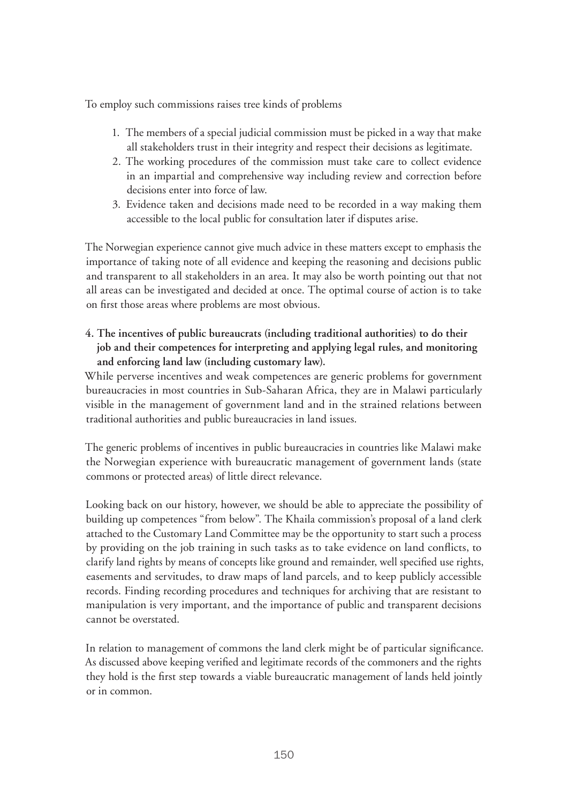To employ such commissions raises tree kinds of problems

- 1. The members of a special judicial commission must be picked in a way that make all stakeholders trust in their integrity and respect their decisions as legitimate.
- 2. The working procedures of the commission must take care to collect evidence in an impartial and comprehensive way including review and correction before decisions enter into force of law.
- 3. Evidence taken and decisions made need to be recorded in a way making them accessible to the local public for consultation later if disputes arise.

The Norwegian experience cannot give much advice in these matters except to emphasis the importance of taking note of all evidence and keeping the reasoning and decisions public and transparent to all stakeholders in an area. It may also be worth pointing out that not all areas can be investigated and decided at once. The optimal course of action is to take on first those areas where problems are most obvious.

**4. The incentives of public bureaucrats (including traditional authorities) to do their job and their competences for interpreting and applying legal rules, and monitoring and enforcing land law (including customary law).** 

While perverse incentives and weak competences are generic problems for government bureaucracies in most countries in Sub-Saharan Africa, they are in Malawi particularly visible in the management of government land and in the strained relations between traditional authorities and public bureaucracies in land issues.

The generic problems of incentives in public bureaucracies in countries like Malawi make the Norwegian experience with bureaucratic management of government lands (state commons or protected areas) of little direct relevance.

Looking back on our history, however, we should be able to appreciate the possibility of building up competences "from below". The Khaila commission's proposal of a land clerk attached to the Customary Land Committee may be the opportunity to start such a process by providing on the job training in such tasks as to take evidence on land conflicts, to clarify land rights by means of concepts like ground and remainder, well specified use rights, easements and servitudes, to draw maps of land parcels, and to keep publicly accessible records. Finding recording procedures and techniques for archiving that are resistant to manipulation is very important, and the importance of public and transparent decisions cannot be overstated.

In relation to management of commons the land clerk might be of particular significance. As discussed above keeping verified and legitimate records of the commoners and the rights they hold is the first step towards a viable bureaucratic management of lands held jointly or in common.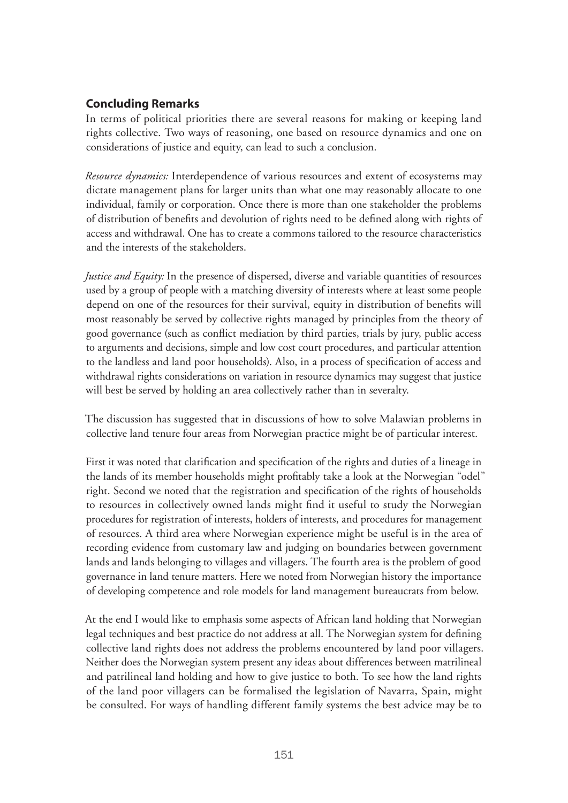# **Concluding Remarks**

In terms of political priorities there are several reasons for making or keeping land rights collective. Two ways of reasoning, one based on resource dynamics and one on considerations of justice and equity, can lead to such a conclusion.

*Resource dynamics:* Interdependence of various resources and extent of ecosystems may dictate management plans for larger units than what one may reasonably allocate to one individual, family or corporation. Once there is more than one stakeholder the problems of distribution of benefits and devolution of rights need to be defined along with rights of access and withdrawal. One has to create a commons tailored to the resource characteristics and the interests of the stakeholders.

*Justice and Equity:* In the presence of dispersed, diverse and variable quantities of resources used by a group of people with a matching diversity of interests where at least some people depend on one of the resources for their survival, equity in distribution of benefits will most reasonably be served by collective rights managed by principles from the theory of good governance (such as conflict mediation by third parties, trials by jury, public access to arguments and decisions, simple and low cost court procedures, and particular attention to the landless and land poor households). Also, in a process of specification of access and withdrawal rights considerations on variation in resource dynamics may suggest that justice will best be served by holding an area collectively rather than in severalty.

The discussion has suggested that in discussions of how to solve Malawian problems in collective land tenure four areas from Norwegian practice might be of particular interest.

First it was noted that clarification and specification of the rights and duties of a lineage in the lands of its member households might profitably take a look at the Norwegian "odel" right. Second we noted that the registration and specification of the rights of households to resources in collectively owned lands might find it useful to study the Norwegian procedures for registration of interests, holders of interests, and procedures for management of resources. A third area where Norwegian experience might be useful is in the area of recording evidence from customary law and judging on boundaries between government lands and lands belonging to villages and villagers. The fourth area is the problem of good governance in land tenure matters. Here we noted from Norwegian history the importance of developing competence and role models for land management bureaucrats from below.

At the end I would like to emphasis some aspects of African land holding that Norwegian legal techniques and best practice do not address at all. The Norwegian system for defining collective land rights does not address the problems encountered by land poor villagers. Neither does the Norwegian system present any ideas about differences between matrilineal and patrilineal land holding and how to give justice to both. To see how the land rights of the land poor villagers can be formalised the legislation of Navarra, Spain, might be consulted. For ways of handling different family systems the best advice may be to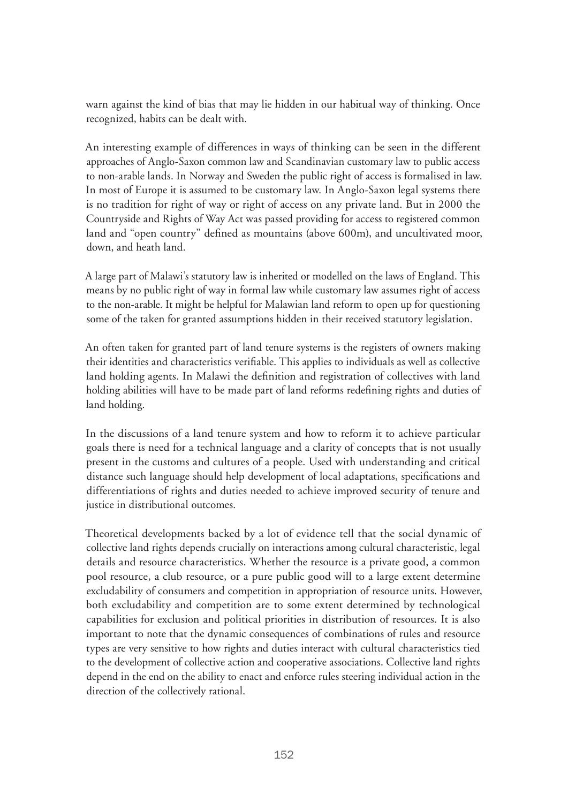warn against the kind of bias that may lie hidden in our habitual way of thinking. Once recognized, habits can be dealt with.

An interesting example of differences in ways of thinking can be seen in the different approaches of Anglo-Saxon common law and Scandinavian customary law to public access to non-arable lands. In Norway and Sweden the public right of access is formalised in law. In most of Europe it is assumed to be customary law. In Anglo-Saxon legal systems there is no tradition for right of way or right of access on any private land. But in 2000 the Countryside and Rights of Way Act was passed providing for access to registered common land and "open country" defined as mountains (above 600m), and uncultivated moor, down, and heath land.

A large part of Malawi's statutory law is inherited or modelled on the laws of England. This means by no public right of way in formal law while customary law assumes right of access to the non-arable. It might be helpful for Malawian land reform to open up for questioning some of the taken for granted assumptions hidden in their received statutory legislation.

An often taken for granted part of land tenure systems is the registers of owners making their identities and characteristics verifiable. This applies to individuals as well as collective land holding agents. In Malawi the definition and registration of collectives with land holding abilities will have to be made part of land reforms redefining rights and duties of land holding.

In the discussions of a land tenure system and how to reform it to achieve particular goals there is need for a technical language and a clarity of concepts that is not usually present in the customs and cultures of a people. Used with understanding and critical distance such language should help development of local adaptations, specifications and differentiations of rights and duties needed to achieve improved security of tenure and justice in distributional outcomes.

Theoretical developments backed by a lot of evidence tell that the social dynamic of collective land rights depends crucially on interactions among cultural characteristic, legal details and resource characteristics. Whether the resource is a private good, a common pool resource, a club resource, or a pure public good will to a large extent determine excludability of consumers and competition in appropriation of resource units. However, both excludability and competition are to some extent determined by technological capabilities for exclusion and political priorities in distribution of resources. It is also important to note that the dynamic consequences of combinations of rules and resource types are very sensitive to how rights and duties interact with cultural characteristics tied to the development of collective action and cooperative associations. Collective land rights depend in the end on the ability to enact and enforce rules steering individual action in the direction of the collectively rational.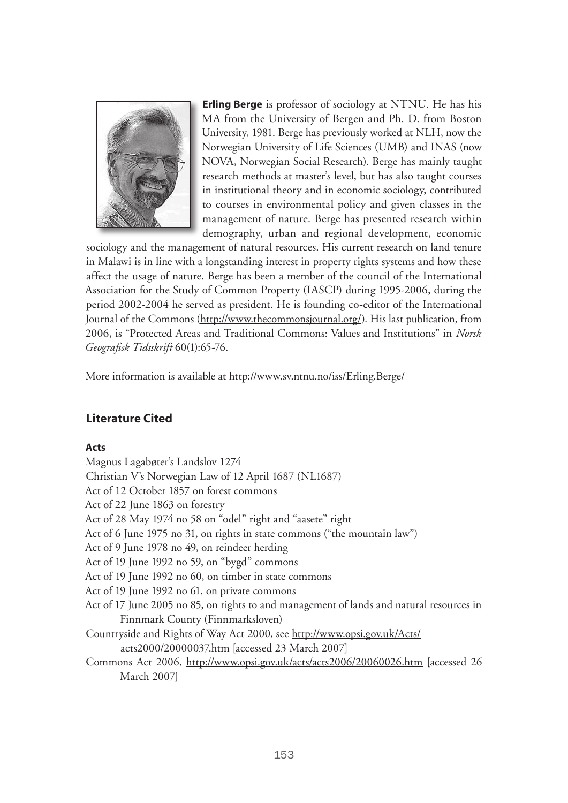

**Erling Berge** is professor of sociology at NTNU. He has his MA from the University of Bergen and Ph. D. from Boston University, 1981. Berge has previously worked at NLH, now the Norwegian University of Life Sciences (UMB) and INAS (now NOVA, Norwegian Social Research). Berge has mainly taught research methods at master's level, but has also taught courses in institutional theory and in economic sociology, contributed to courses in environmental policy and given classes in the management of nature. Berge has presented research within demography, urban and regional development, economic

sociology and the management of natural resources. His current research on land tenure in Malawi is in line with a longstanding interest in property rights systems and how these affect the usage of nature. Berge has been a member of the council of the International Association for the Study of Common Property (IASCP) during 1995-2006, during the period 2002-2004 he served as president. He is founding co-editor of the International Journal of the Commons (http://www.thecommonsjournal.org/). His last publication, from 2006, is "Protected Areas and Traditional Commons: Values and Institutions" in *Norsk Geografisk Tidsskrift* 60(1):65-76.

More information is available at http://www.sv.ntnu.no/iss/Erling.Berge/

# **Literature Cited**

#### **Acts**

Magnus Lagabøter's Landslov 1274 Christian V's Norwegian Law of 12 April 1687 (NL1687) Act of 12 October 1857 on forest commons Act of 22 June 1863 on forestry Act of 28 May 1974 no 58 on "odel" right and "aasete" right Act of 6 June 1975 no 31, on rights in state commons ("the mountain law") Act of 9 June 1978 no 49, on reindeer herding Act of 19 June 1992 no 59, on "bygd" commons Act of 19 June 1992 no 60, on timber in state commons Act of 19 June 1992 no 61, on private commons Act of 17 June 2005 no 85, on rights to and management of lands and natural resources in Finnmark County (Finnmarksloven) Countryside and Rights of Way Act 2000, see http://www.opsi.gov.uk/Acts/ acts2000/20000037.htm [accessed 23 March 2007] Commons Act 2006, http://www.opsi.gov.uk/acts/acts2006/20060026.htm [accessed 26 March 2007]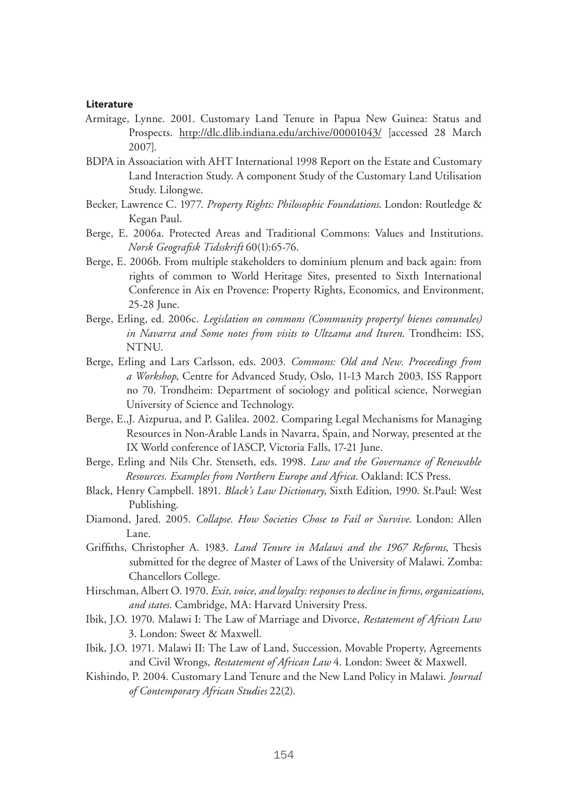#### **Literature**

- Armitage, Lynne. 2001. Customary Land Tenure in Papua New Guinea: Status and Prospects. http://dlc.dlib.indiana.edu/archive/00001043/ [accessed 28 March 2007].
- BDPA in Assoaciation with AHT International 1998 Report on the Estate and Customary Land Interaction Study. A component Study of the Customary Land Utilisation Study. Lilongwe.
- Becker, Lawrence C. 1977. *Property Rights: Philosophic Foundations*. London: Routledge & Kegan Paul.
- Berge, E. 2006a. Protected Areas and Traditional Commons: Values and Institutions. *Norsk Geografisk Tidsskrift* 60(1):65-76.
- Berge, E. 2006b. From multiple stakeholders to dominium plenum and back again: from rights of common to World Heritage Sites, presented to Sixth International Conference in Aix en Provence: Property Rights, Economics, and Environment, 25-28 June.
- Berge, Erling, ed. 2006c. *Legislation on commons (Community property/ bienes comunales) in Navarra and Some notes from visits to Ultzama and Ituren*. Trondheim: ISS, NTNU.
- Berge, Erling and Lars Carlsson, eds. 2003. *Commons: Old and New. Proceedings from a Workshop*, Centre for Advanced Study, Oslo, 11-13 March 2003, ISS Rapport no 70. Trondheim: Department of sociology and political science, Norwegian University of Science and Technology.
- Berge, E.,J. Aizpurua, and P. Galilea. 2002. Comparing Legal Mechanisms for Managing Resources in Non-Arable Lands in Navarra, Spain, and Norway, presented at the IX World conference of IASCP, Victoria Falls, 17-21 June.
- Berge, Erling and Nils Chr. Stenseth, eds. 1998. *Law and the Governance of Renewable Resources. Examples from Northern Europe and Africa*. Oakland: ICS Press.
- Black, Henry Campbell. 1891. *Black's Law Dictionary,* Sixth Edition, 1990. St.Paul: West Publishing.
- Diamond, Jared. 2005. *Collapse. How Societies Chose to Fail or Survive*. London: Allen Lane.
- Griffiths, Christopher A. 1983. *Land Tenure in Malawi and the 1967 Reforms*, Thesis submitted for the degree of Master of Laws of the University of Malawi. Zomba: Chancellors College.
- Hirschman, Albert O. 1970. *Exit, voice, and loyalty: responses to decline in firms, organizations, and states*. Cambridge, MA: Harvard University Press.
- Ibik, J.O. 1970. Malawi I: The Law of Marriage and Divorce, *Restatement of African Law* 3. London: Sweet & Maxwell.
- Ibik, J.O. 1971. Malawi II: The Law of Land, Succession, Movable Property, Agreements and Civil Wrongs, *Restatement of African Law* 4. London: Sweet & Maxwell.
- Kishindo, P. 2004. Customary Land Tenure and the New Land Policy in Malawi. *Journal of Contemporary African Studies* 22(2).